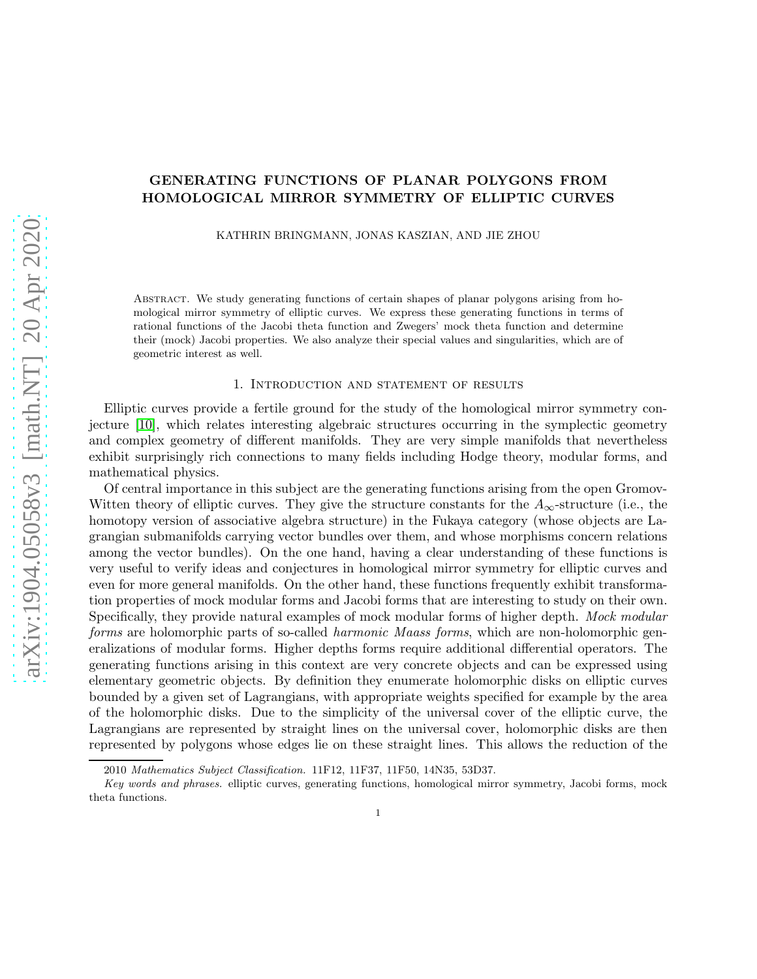# GENERATING FUNCTIONS OF PLANAR POLYGONS FROM HOMOLOGICAL MIRROR SYMMETRY OF ELLIPTIC CURVES

KATHRIN BRINGMANN, JONAS KASZIAN, AND JIE ZHOU

Abstract. We study generating functions of certain shapes of planar polygons arising from homological mirror symmetry of elliptic curves. We express these generating functions in terms of rational functions of the Jacobi theta function and Zwegers' mock theta function and determine their (mock) Jacobi properties. We also analyze their special values and singularities, which are of geometric interest as well.

#### 1. Introduction and statement of results

Elliptic curves provide a fertile ground for the study of the homological mirror symmetry conjecture [\[10\]](#page-19-0), which relates interesting algebraic structures occurring in the symplectic geometry and complex geometry of different manifolds. They are very simple manifolds that nevertheless exhibit surprisingly rich connections to many fields including Hodge theory, modular forms, and mathematical physics.

Of central importance in this subject are the generating functions arising from the open Gromov-Witten theory of elliptic curves. They give the structure constants for the  $A_{\infty}$ -structure (i.e., the homotopy version of associative algebra structure) in the Fukaya category (whose objects are Lagrangian submanifolds carrying vector bundles over them, and whose morphisms concern relations among the vector bundles). On the one hand, having a clear understanding of these functions is very useful to verify ideas and conjectures in homological mirror symmetry for elliptic curves and even for more general manifolds. On the other hand, these functions frequently exhibit transformation properties of mock modular forms and Jacobi forms that are interesting to study on their own. Specifically, they provide natural examples of mock modular forms of higher depth. Mock modular forms are holomorphic parts of so-called *harmonic Maass forms*, which are non-holomorphic generalizations of modular forms. Higher depths forms require additional differential operators. The generating functions arising in this context are very concrete objects and can be expressed using elementary geometric objects. By definition they enumerate holomorphic disks on elliptic curves bounded by a given set of Lagrangians, with appropriate weights specified for example by the area of the holomorphic disks. Due to the simplicity of the universal cover of the elliptic curve, the Lagrangians are represented by straight lines on the universal cover, holomorphic disks are then represented by polygons whose edges lie on these straight lines. This allows the reduction of the

<sup>2010</sup> *Mathematics Subject Classification.* 11F12, 11F37, 11F50, 14N35, 53D37.

*Key words and phrases.* elliptic curves, generating functions, homological mirror symmetry, Jacobi forms, mock theta functions.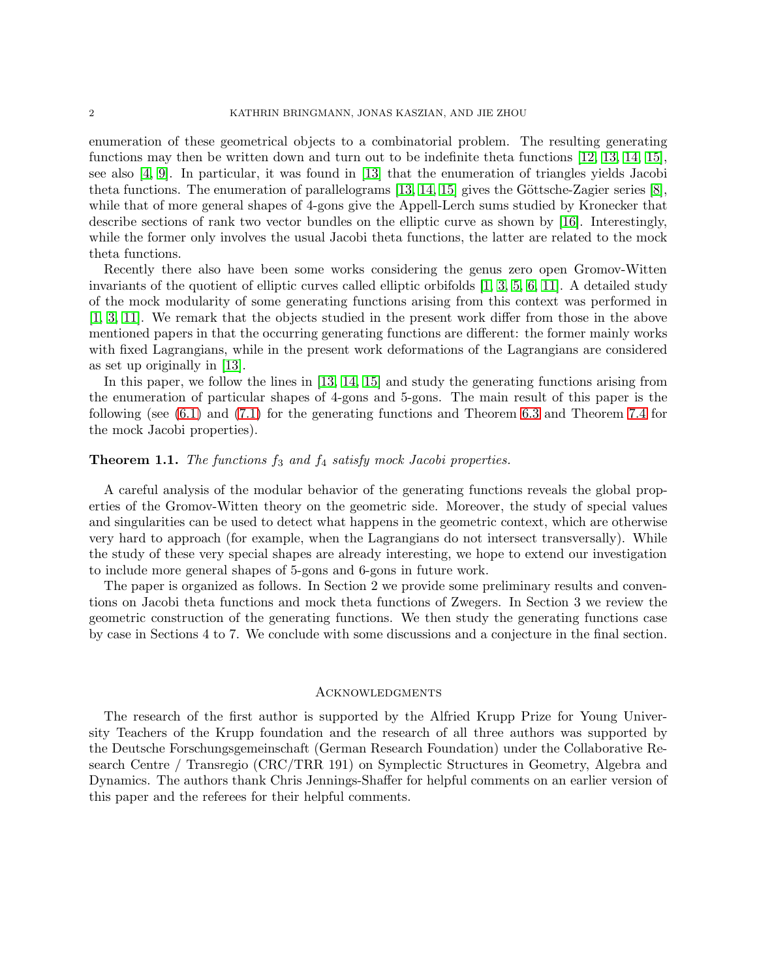enumeration of these geometrical objects to a combinatorial problem. The resulting generating functions may then be written down and turn out to be indefinite theta functions [\[12,](#page-19-1) [13,](#page-19-2) [14,](#page-19-3) [15\]](#page-19-4), see also [\[4,](#page-19-5) [9\]](#page-19-6). In particular, it was found in [\[13\]](#page-19-2) that the enumeration of triangles yields Jacobi theta functions. The enumeration of parallelograms  $[13, 14, 15]$  $[13, 14, 15]$  $[13, 14, 15]$  gives the Göttsche-Zagier series  $[8]$ , while that of more general shapes of 4-gons give the Appell-Lerch sums studied by Kronecker that describe sections of rank two vector bundles on the elliptic curve as shown by [\[16\]](#page-19-8). Interestingly, while the former only involves the usual Jacobi theta functions, the latter are related to the mock theta functions.

Recently there also have been some works considering the genus zero open Gromov-Witten invariants of the quotient of elliptic curves called elliptic orbifolds [\[1,](#page-19-9) [3,](#page-19-10) [5,](#page-19-11) [6,](#page-19-12) [11\]](#page-19-13). A detailed study of the mock modularity of some generating functions arising from this context was performed in [\[1,](#page-19-9) [3,](#page-19-10) [11\]](#page-19-13). We remark that the objects studied in the present work differ from those in the above mentioned papers in that the occurring generating functions are different: the former mainly works with fixed Lagrangians, while in the present work deformations of the Lagrangians are considered as set up originally in [\[13\]](#page-19-2).

In this paper, we follow the lines in [\[13,](#page-19-2) [14,](#page-19-3) [15\]](#page-19-4) and study the generating functions arising from the enumeration of particular shapes of 4-gons and 5-gons. The main result of this paper is the following (see [\(6.1\)](#page-9-0) and [\(7.1\)](#page-12-0) for the generating functions and Theorem [6.3](#page-10-0) and Theorem [7.4](#page-14-0) for the mock Jacobi properties).

### **Theorem 1.1.** The functions  $f_3$  and  $f_4$  satisfy mock Jacobi properties.

A careful analysis of the modular behavior of the generating functions reveals the global properties of the Gromov-Witten theory on the geometric side. Moreover, the study of special values and singularities can be used to detect what happens in the geometric context, which are otherwise very hard to approach (for example, when the Lagrangians do not intersect transversally). While the study of these very special shapes are already interesting, we hope to extend our investigation to include more general shapes of 5-gons and 6-gons in future work.

The paper is organized as follows. In Section 2 we provide some preliminary results and conventions on Jacobi theta functions and mock theta functions of Zwegers. In Section 3 we review the geometric construction of the generating functions. We then study the generating functions case by case in Sections 4 to 7. We conclude with some discussions and a conjecture in the final section.

### Acknowledgments

The research of the first author is supported by the Alfried Krupp Prize for Young University Teachers of the Krupp foundation and the research of all three authors was supported by the Deutsche Forschungsgemeinschaft (German Research Foundation) under the Collaborative Research Centre / Transregio (CRC/TRR 191) on Symplectic Structures in Geometry, Algebra and Dynamics. The authors thank Chris Jennings-Shaffer for helpful comments on an earlier version of this paper and the referees for their helpful comments.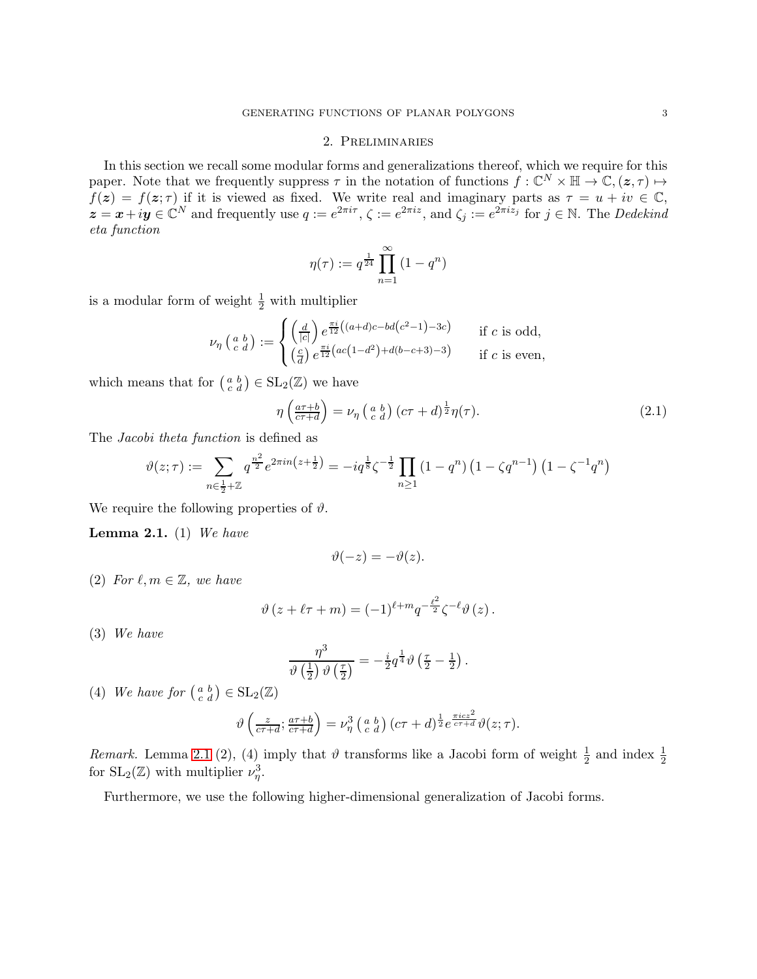### 2. Preliminaries

In this section we recall some modular forms and generalizations thereof, which we require for this paper. Note that we frequently suppress  $\tau$  in the notation of functions  $f: \mathbb{C}^N \times \mathbb{H} \to \mathbb{C}, (\mathbf{z}, \tau) \mapsto$  $f(z) = f(z; \tau)$  if it is viewed as fixed. We write real and imaginary parts as  $\tau = u + iv \in \mathbb{C}$ ,  $z = x + iy \in \mathbb{C}^N$  and frequently use  $q := e^{2\pi i \tau}, \zeta := e^{2\pi i z}$ , and  $\zeta_j := e^{2\pi i z_j}$  for  $j \in \mathbb{N}$ . The *Dedekind* eta function

$$
\eta(\tau):=q^{\frac{1}{24}}\prod_{n=1}^{\infty}\left(1-q^n\right)
$$

is a modular form of weight  $\frac{1}{2}$  with multiplier

$$
\nu_{\eta}\left(\begin{smallmatrix} a & b \\ c & d \end{smallmatrix}\right) := \begin{cases}\left(\frac{d}{|c|}\right) e^{\frac{\pi i}{12} \left((a+d)c - bd(c^2 - 1) - 3c\right)} & \text{if } c \text{ is odd,} \\
\left(\frac{c}{d}\right) e^{\frac{\pi i}{12} \left(ac\left(1 - d^2\right) + d(b - c + 3) - 3\right)} & \text{if } c \text{ is even,}\n\end{cases}
$$

which means that for  $\begin{pmatrix} a & b \\ c & d \end{pmatrix} \in SL_2(\mathbb{Z})$  we have

<span id="page-2-0"></span>
$$
\eta\left(\frac{a\tau+b}{c\tau+d}\right) = \nu_{\eta}\left(\begin{smallmatrix} a & b \\ c & d \end{smallmatrix}\right)(c\tau+d)^{\frac{1}{2}}\eta(\tau). \tag{2.1}
$$

The Jacobi theta function is defined as

$$
\vartheta(z;\tau) := \sum_{n \in \frac{1}{2} + \mathbb{Z}} q^{\frac{n^2}{2}} e^{2\pi i n \left(z + \frac{1}{2}\right)} = -iq^{\frac{1}{8}} \zeta^{-\frac{1}{2}} \prod_{n \ge 1} \left(1 - q^n\right) \left(1 - \zeta q^{n-1}\right) \left(1 - \zeta^{-1} q^n\right)
$$

We require the following properties of  $\vartheta$ .

**Lemma 2.1.** (1) We have

$$
\vartheta(-z) = -\vartheta(z).
$$

(2) For  $\ell, m \in \mathbb{Z}$ , we have

$$
\vartheta(z+\ell\tau+m) = (-1)^{\ell+m} q^{-\frac{\ell^2}{2}} \zeta^{-\ell} \vartheta(z).
$$

(3) We have

$$
\frac{\eta^3}{\vartheta\left(\frac{1}{2}\right)\vartheta\left(\frac{\tau}{2}\right)} = -\frac{i}{2}q^{\frac{1}{4}}\vartheta\left(\frac{\tau}{2} - \frac{1}{2}\right).
$$

(4) We have for  $\begin{pmatrix} a & b \\ c & d \end{pmatrix} \in SL_2(\mathbb{Z})$ 

$$
\vartheta\left(\frac{z}{c\tau+d};\frac{a\tau+b}{c\tau+d}\right)=\nu_{\eta}^{3}\left(\begin{smallmatrix}a&b\\c&d\end{smallmatrix}\right)(c\tau+d)^{\frac{1}{2}}e^{\frac{\pi icz^{2}}{c\tau+d}}\vartheta(z;\tau).
$$

Remark. Lemma 2.1 (2), (4) imply that  $\vartheta$  transforms like a Jacobi form of weight  $\frac{1}{2}$  and index  $\frac{1}{2}$ for  $SL_2(\mathbb{Z})$  with multiplier  $\nu_\eta^3$ .

Furthermore, we use the following higher-dimensional generalization of Jacobi forms.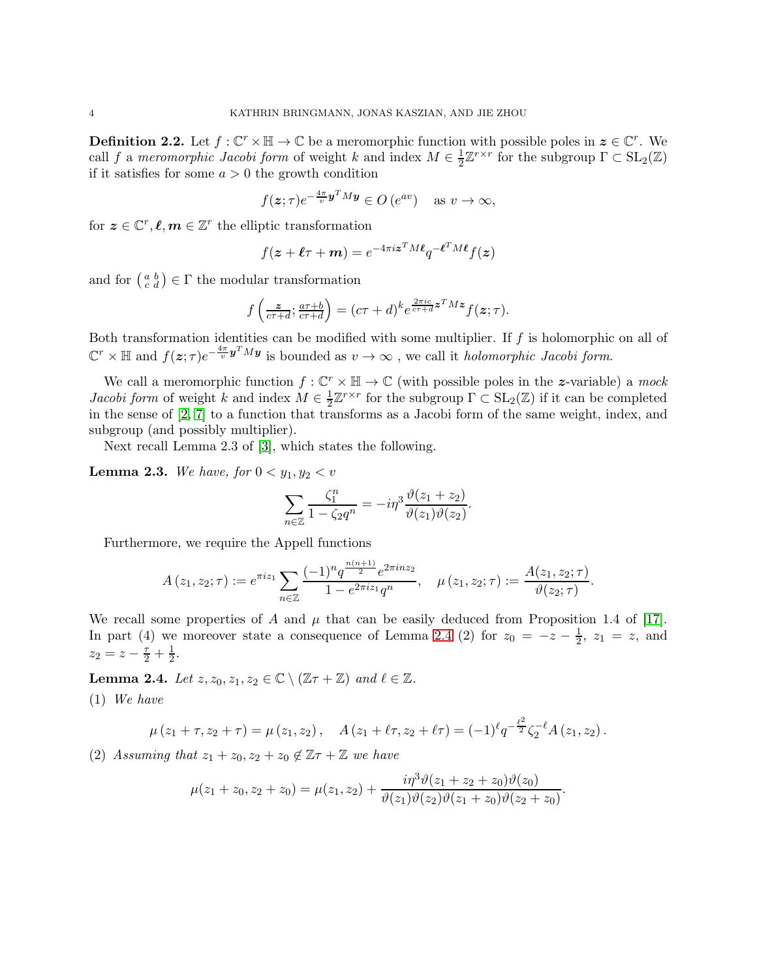**Definition 2.2.** Let  $f: \mathbb{C}^r \times \mathbb{H} \to \mathbb{C}$  be a meromorphic function with possible poles in  $z \in \mathbb{C}^r$ . We call f a meromorphic Jacobi form of weight k and index  $M \in \frac{1}{2}$  $\frac{1}{2}\mathbb{Z}^{r\times r}$  for the subgroup  $\Gamma \subset SL_2(\mathbb{Z})$ if it satisfies for some  $a > 0$  the growth condition

$$
f(z; \tau)e^{-\frac{4\pi}{v}y^TMy} \in O(e^{av})
$$
 as  $v \to \infty$ ,

for  $\boldsymbol{z} \in \mathbb{C}^r, \boldsymbol{\ell}, \boldsymbol{m} \in \mathbb{Z}^r$  the elliptic transformation

$$
f(\boldsymbol{z} + \boldsymbol{\ell}\tau + \boldsymbol{m}) = e^{-4\pi i \boldsymbol{z}^T M \boldsymbol{\ell}} q^{-\boldsymbol{\ell}^T M \boldsymbol{\ell}} f(\boldsymbol{z})
$$

and for  $\begin{pmatrix} a & b \\ c & d \end{pmatrix} \in \Gamma$  the modular transformation

$$
f\left(\frac{z}{c\tau+d};\frac{a\tau+b}{c\tau+d}\right)=(c\tau+d)^k e^{\frac{2\pi ic}{c\tau+d}z^T M z}f(z;\tau).
$$

Both transformation identities can be modified with some multiplier. If  $f$  is holomorphic on all of  $\mathbb{C}^r \times \mathbb{H}$  and  $f(z;\tau)e^{-\frac{4\pi}{v}y^TMy}$  is bounded as  $v \to \infty$ , we call it *holomorphic Jacobi form*.

We call a meromorphic function  $f: \mathbb{C}^r \times \mathbb{H} \to \mathbb{C}$  (with possible poles in the z-variable) a mock Jacobi form of weight k and index  $M \in \frac{1}{2}$  $\frac{1}{2}\mathbb{Z}^{r\times r}$  for the subgroup  $\Gamma \subset SL_2(\mathbb{Z})$  if it can be completed in the sense of [\[2,](#page-19-14) [7\]](#page-19-15) to a function that transforms as a Jacobi form of the same weight, index, and subgroup (and possibly multiplier).

Next recall Lemma 2.3 of [\[3\]](#page-19-10), which states the following.

<span id="page-3-1"></span>**Lemma 2.3.** We have, for  $0 < y_1, y_2 < v$ 

$$
\sum_{n\in\mathbb{Z}}\frac{\zeta_1^n}{1-\zeta_2q^n}=-i\eta^3\frac{\vartheta(z_1+z_2)}{\vartheta(z_1)\vartheta(z_2)}.
$$

Furthermore, we require the Appell functions

$$
A(z_1, z_2; \tau) := e^{\pi i z_1} \sum_{n \in \mathbb{Z}} \frac{(-1)^n q^{\frac{n(n+1)}{2}} e^{2\pi i n z_2}}{1 - e^{2\pi i z_1} q^n}, \quad \mu(z_1, z_2; \tau) := \frac{A(z_1, z_2; \tau)}{\vartheta(z_2; \tau)}.
$$

We recall some properties of A and  $\mu$  that can be easily deduced from Proposition 1.4 of [\[17\]](#page-19-16). In part (4) we moreover state a consequence of Lemma [2.4](#page-3-0) (2) for  $z_0 = -z - \frac{1}{2}$ ,  $z_1 = z$ , and  $z_2 = z - \frac{\tau}{2} + \frac{1}{2}$  $rac{1}{2}$ .

<span id="page-3-0"></span>**Lemma 2.4.** Let  $z, z_0, z_1, z_2 \in \mathbb{C} \setminus (\mathbb{Z}\tau + \mathbb{Z})$  and  $\ell \in \mathbb{Z}$ .

(1) We have

$$
\mu(z_1+\tau, z_2+\tau) = \mu(z_1, z_2), \quad A(z_1+\ell\tau, z_2+\ell\tau) = (-1)^{\ell} q^{-\frac{\ell^2}{2}} \zeta_2^{-\ell} A(z_1, z_2).
$$

(2) Assuming that  $z_1 + z_0, z_2 + z_0 \notin \mathbb{Z}\tau + \mathbb{Z}$  we have

$$
\mu(z_1 + z_0, z_2 + z_0) = \mu(z_1, z_2) + \frac{i\eta^3 \vartheta(z_1 + z_2 + z_0)\vartheta(z_0)}{\vartheta(z_1)\vartheta(z_2)\vartheta(z_1 + z_0)\vartheta(z_2 + z_0)}
$$

.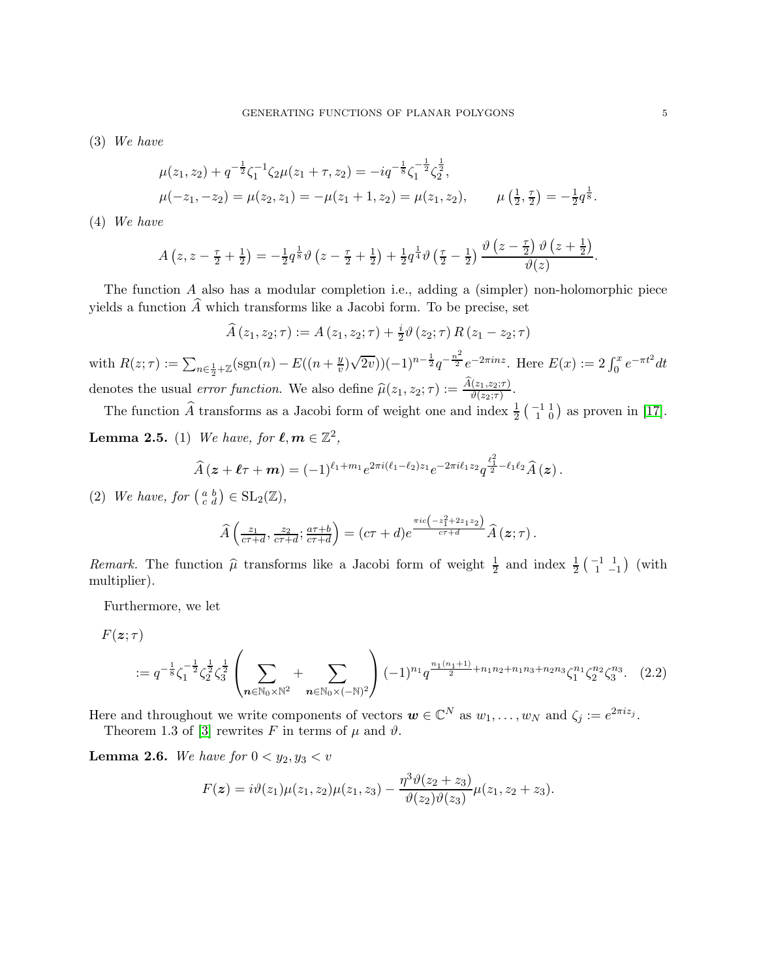(3) We have

$$
\mu(z_1, z_2) + q^{-\frac{1}{2}} \zeta_1^{-1} \zeta_2 \mu(z_1 + \tau, z_2) = -iq^{-\frac{1}{8}} \zeta_1^{-\frac{1}{2}} \zeta_2^{\frac{1}{2}},
$$
  

$$
\mu(-z_1, -z_2) = \mu(z_2, z_1) = -\mu(z_1 + 1, z_2) = \mu(z_1, z_2), \qquad \mu\left(\frac{1}{2}, \frac{\tau}{2}\right) = -\frac{1}{2}q^{\frac{1}{8}}.
$$

(4) We have

$$
A(z, z - \frac{\tau}{2} + \frac{1}{2}) = -\frac{1}{2}q^{\frac{1}{8}}\vartheta(z - \frac{\tau}{2} + \frac{1}{2}) + \frac{1}{2}q^{\frac{1}{4}}\vartheta(\frac{\tau}{2} - \frac{1}{2})\frac{\vartheta(z - \frac{\tau}{2})\vartheta(z + \frac{1}{2})}{\vartheta(z)}.
$$

The function A also has a modular completion i.e., adding a (simpler) non-holomorphic piece yields a function  $\widehat{A}$  which transforms like a Jacobi form. To be precise, set

$$
\widehat{A}(z_1, z_2; \tau) := A(z_1, z_2; \tau) + \frac{i}{2} \vartheta(z_2; \tau) R(z_1 - z_2; \tau)
$$

with  $R(z; \tau) := \sum_{n \in \frac{1}{2} + \mathbb{Z}} (\text{sgn}(n) - E((n + \frac{y}{v}))$  $(v_v^y)\sqrt{2v})$ )(-1)<sup>n- $\frac{1}{2}q^{-\frac{n^2}{2}}e^{-2\pi inz}$ . Here  $E(x) := 2\int_0^x e^{-\pi t^2}dt$ </sup> denotes the usual error function. We also define  $\widehat{\mu}(z_1, z_2; \tau) := \frac{A(z_1, z_2; \tau)}{\vartheta(z_2; \tau)}$ .

The function  $\widehat{A}$  transforms as a Jacobi form of weight one and index  $\frac{1}{2} \begin{pmatrix} -1 & 1 \\ 1 & 0 \end{pmatrix}$  as proven in [\[17\]](#page-19-16). **Lemma 2.5.** (1) We have, for  $\ell, m \in \mathbb{Z}^2$ ,

$$
\widehat{A}(z+\ell\tau+m)=(-1)^{\ell_1+m_1}e^{2\pi i(\ell_1-\ell_2)z_1}e^{-2\pi i\ell_1z_2}q^{\frac{\ell_1^2}{2}-\ell_1\ell_2}\widehat{A}(z).
$$

(2) We have, for  $\begin{pmatrix} a & b \\ c & d \end{pmatrix} \in SL_2(\mathbb{Z}),$ 

<span id="page-4-0"></span>
$$
\widehat{A}\left(\frac{z_1}{c\tau+d},\frac{z_2}{c\tau+d};\frac{a\tau+b}{c\tau+d}\right)=(c\tau+d)e^{\frac{\pi ic\left(-z_1^2+2z_1z_2\right)}{c\tau+d}}\widehat{A}\left(\boldsymbol{z};\tau\right).
$$

Remark. The function  $\hat{\mu}$  transforms like a Jacobi form of weight  $\frac{1}{2}$  and index  $\frac{1}{2}$  ( $\frac{-1}{1}$ ,  $\frac{1}{-1}$ ) (with multiplier).

Furthermore, we let

$$
F(\bm{z};\tau)
$$

$$
:= q^{-\frac{1}{8}} \zeta_1^{-\frac{1}{2}} \zeta_2^{\frac{1}{2}} \zeta_3^{\frac{1}{2}} \left( \sum_{n \in \mathbb{N}_0 \times \mathbb{N}^2} + \sum_{n \in \mathbb{N}_0 \times (-\mathbb{N})^2} \right) (-1)^{n_1} q^{\frac{n_1(n_1+1)}{2} + n_1 n_2 + n_1 n_3 + n_2 n_3} \zeta_1^{n_1} \zeta_2^{n_2} \zeta_3^{n_3}.
$$
 (2.2)

Here and throughout we write components of vectors  $\mathbf{w} \in \mathbb{C}^N$  as  $w_1, \ldots, w_N$  and  $\zeta_j := e^{2\pi i z_j}$ .

Theorem 1.3 of [\[3\]](#page-19-10) rewrites F in terms of  $\mu$  and  $\vartheta$ .

<span id="page-4-1"></span>**Lemma 2.6.** We have for  $0 < y_2, y_3 < v$ 

$$
F(z) = i\vartheta(z_1)\mu(z_1, z_2)\mu(z_1, z_3) - \frac{\eta^3\vartheta(z_2 + z_3)}{\vartheta(z_2)\vartheta(z_3)}\mu(z_1, z_2 + z_3).
$$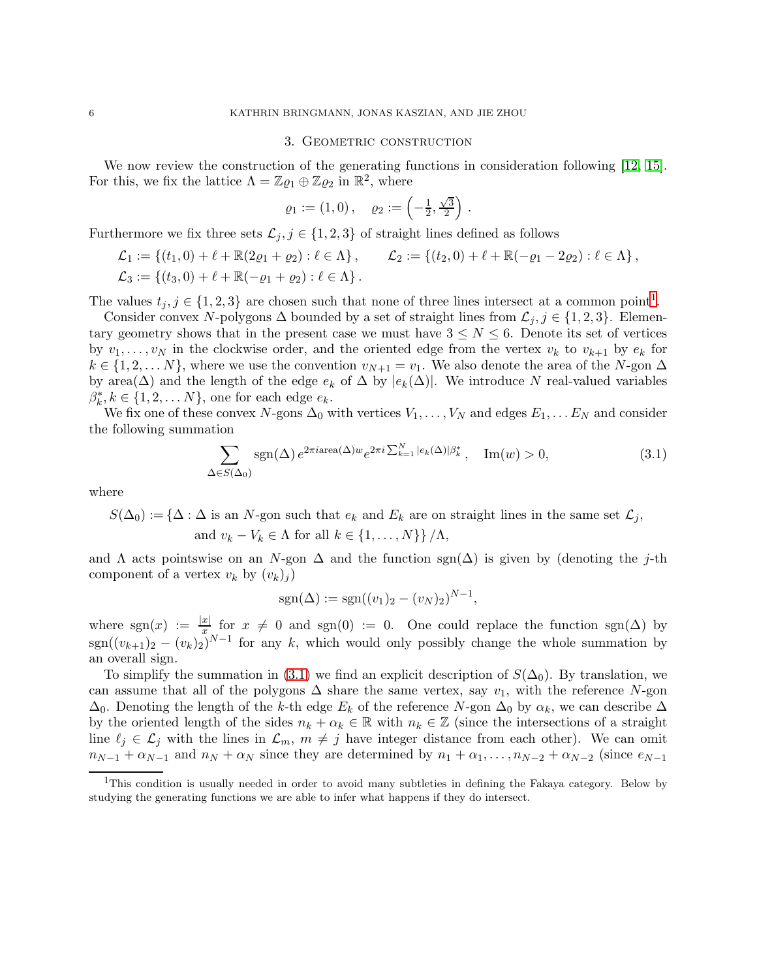### 3. Geometric construction

<span id="page-5-2"></span>We now review the construction of the generating functions in consideration following [\[12,](#page-19-1) [15\]](#page-19-4). For this, we fix the lattice  $\Lambda = \mathbb{Z}\varrho_1 \oplus \mathbb{Z}\varrho_2$  in  $\mathbb{R}^2$ , where

$$
\varrho_1 := (1,0) \, , \quad \varrho_2 := \left( -\frac{1}{2}, \frac{\sqrt{3}}{2} \right) \, .
$$

Furthermore we fix three sets  $\mathcal{L}_j$ ,  $j \in \{1, 2, 3\}$  of straight lines defined as follows

$$
\mathcal{L}_1 := \{ (t_1, 0) + \ell + \mathbb{R}(2\varrho_1 + \varrho_2) : \ell \in \Lambda \}, \qquad \mathcal{L}_2 := \{ (t_2, 0) + \ell + \mathbb{R}(-\varrho_1 - 2\varrho_2) : \ell \in \Lambda \}, \n\mathcal{L}_3 := \{ (t_3, 0) + \ell + \mathbb{R}(-\varrho_1 + \varrho_2) : \ell \in \Lambda \}.
$$

The values  $t_j, j \in \{1, 2, 3\}$  $t_j, j \in \{1, 2, 3\}$  $t_j, j \in \{1, 2, 3\}$  are chosen such that none of three lines intersect at a common point<sup>1</sup>.

Consider convex N-polygons  $\Delta$  bounded by a set of straight lines from  $\mathcal{L}_j, j \in \{1, 2, 3\}$ . Elementary geometry shows that in the present case we must have  $3 \leq N \leq 6$ . Denote its set of vertices by  $v_1, \ldots, v_N$  in the clockwise order, and the oriented edge from the vertex  $v_k$  to  $v_{k+1}$  by  $e_k$  for  $k \in \{1, 2, \ldots N\}$ , where we use the convention  $v_{N+1} = v_1$ . We also denote the area of the N-gon  $\Delta$ by area( $\Delta$ ) and the length of the edge  $e_k$  of  $\Delta$  by  $|e_k(\Delta)|$ . We introduce N real-valued variables  $\beta_k^*, k \in \{1, 2, \dots N\}$ , one for each edge  $e_k$ .

We fix one of these convex N-gons  $\Delta_0$  with vertices  $V_1, \ldots, V_N$  and edges  $E_1, \ldots E_N$  and consider the following summation

$$
\sum_{\Delta \in S(\Delta_0)} \text{sgn}(\Delta) \, e^{2\pi i \text{area}(\Delta)w} e^{2\pi i \sum_{k=1}^N |e_k(\Delta)| \beta_k^*}, \quad \text{Im}(w) > 0,\tag{3.1}
$$

where

$$
S(\Delta_0) := \{ \Delta : \Delta \text{ is an } N\text{-gon such that } e_k \text{ and } E_k \text{ are on straight lines in the same set } \mathcal{L}_j,
$$
  
and  $v_k - V_k \in \Lambda \text{ for all } k \in \{1, ..., N\} \} / \Lambda,$ 

and  $\Lambda$  acts pointswise on an N-gon  $\Delta$  and the function sgn( $\Delta$ ) is given by (denoting the j-th component of a vertex  $v_k$  by  $(v_k)_j$ 

<span id="page-5-1"></span>
$$
sgn(\Delta) := sgn((v_1)_2 - (v_N)_2)^{N-1},
$$

where  $sgn(x) := \frac{|x|}{x}$  for  $x \neq 0$  and  $sgn(0) := 0$ . One could replace the function  $sgn(\Delta)$  by  $sgn((v_{k+1})_2 - (v_k)_2)^{N-1}$  for any k, which would only possibly change the whole summation by an overall sign.

To simplify the summation in [\(3.1\)](#page-5-1) we find an explicit description of  $S(\Delta_0)$ . By translation, we can assume that all of the polygons  $\Delta$  share the same vertex, say  $v_1$ , with the reference N-gon  $\Delta_0$ . Denoting the length of the k-th edge  $E_k$  of the reference N-gon  $\Delta_0$  by  $\alpha_k$ , we can describe  $\Delta$ by the oriented length of the sides  $n_k + \alpha_k \in \mathbb{R}$  with  $n_k \in \mathbb{Z}$  (since the intersections of a straight line  $\ell_j \in \mathcal{L}_j$  with the lines in  $\mathcal{L}_m$ ,  $m \neq j$  have integer distance from each other). We can omit  $n_{N-1} + \alpha_{N-1}$  and  $n_N + \alpha_N$  since they are determined by  $n_1 + \alpha_1, \ldots, n_{N-2} + \alpha_{N-2}$  (since  $e_{N-1}$ )

<span id="page-5-0"></span><sup>&</sup>lt;sup>1</sup>This condition is usually needed in order to avoid many subtleties in defining the Fakaya category. Below by studying the generating functions we are able to infer what happens if they do intersect.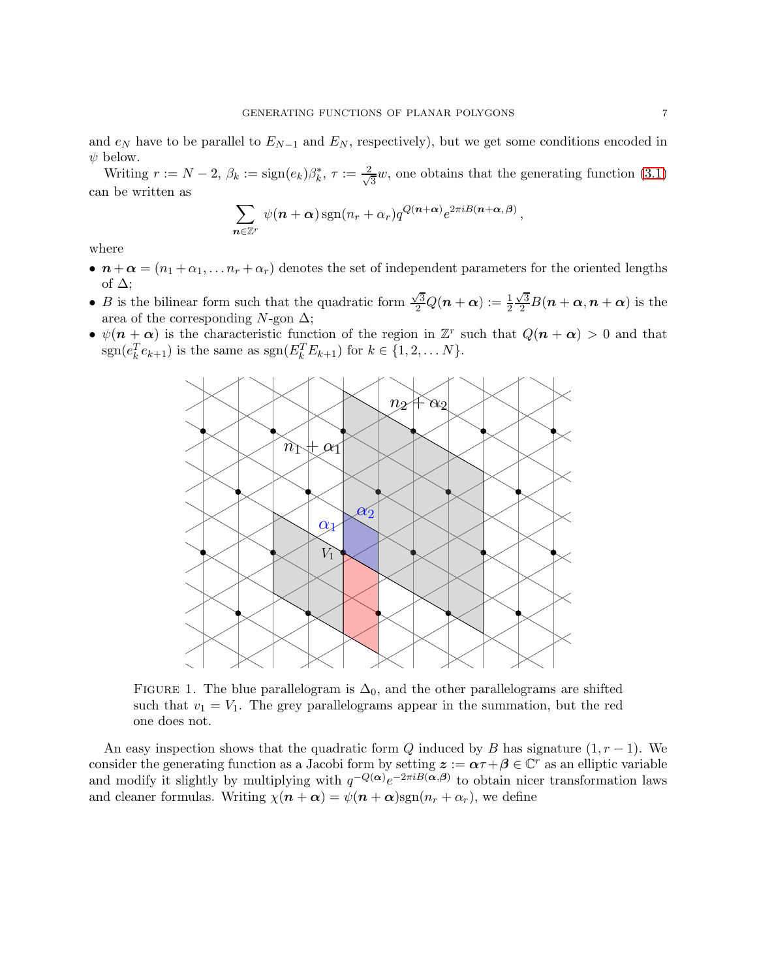and  $e_N$  have to be parallel to  $E_{N-1}$  and  $E_N$ , respectively), but we get some conditions encoded in  $\psi$  below.

Writing  $r := N - 2$ ,  $\beta_k := \text{sign}(e_k)\beta_k^*, \tau := \frac{2}{\sqrt{k}}$  $\frac{1}{3}w$ , one obtains that the generating function [\(3.1\)](#page-5-1) can be written as

$$
\sum_{\mathbf{n}\in\mathbb{Z}^r} \psi(\mathbf{n}+\alpha)\operatorname{sgn}(n_r+\alpha_r)q^{Q(\mathbf{n}+\alpha)}e^{2\pi i B(\mathbf{n}+\alpha,\beta)},
$$

where

- $n + \alpha = (n_1 + \alpha_1, \dots, n_r + \alpha_r)$  denotes the set of independent parameters for the oriented lengths of  $\Delta$ ;
- B is the bilinear form such that the quadratic form  $\frac{\sqrt{3}}{2}Q(n+\alpha) := \frac{1}{2}$  $\frac{\sqrt{3}}{2}B(n+\alpha, n+\alpha)$  is the area of the corresponding N-gon  $\Delta$ ;
- $\psi(n+\alpha)$  is the characteristic function of the region in  $\mathbb{Z}^r$  such that  $Q(n+\alpha) > 0$  and that  $sgn(e_k^T e_{k+1})$  is the same as  $sgn(E_k^T E_{k+1})$  for  $k \in \{1, 2, ..., N\}$ .



FIGURE 1. The blue parallelogram is  $\Delta_0$ , and the other parallelograms are shifted such that  $v_1 = V_1$ . The grey parallelograms appear in the summation, but the red one does not.

An easy inspection shows that the quadratic form Q induced by B has signature  $(1, r - 1)$ . We consider the generating function as a Jacobi form by setting  $z := \alpha \tau + \beta \in \mathbb{C}^r$  as an elliptic variable and modify it slightly by multiplying with  $q^{-Q(\alpha)}e^{-2\pi iB(\alpha,\beta)}$  to obtain nicer transformation laws and cleaner formulas. Writing  $\chi(n+\alpha) = \psi(n+\alpha)$ sgn $(n_r + \alpha_r)$ , we define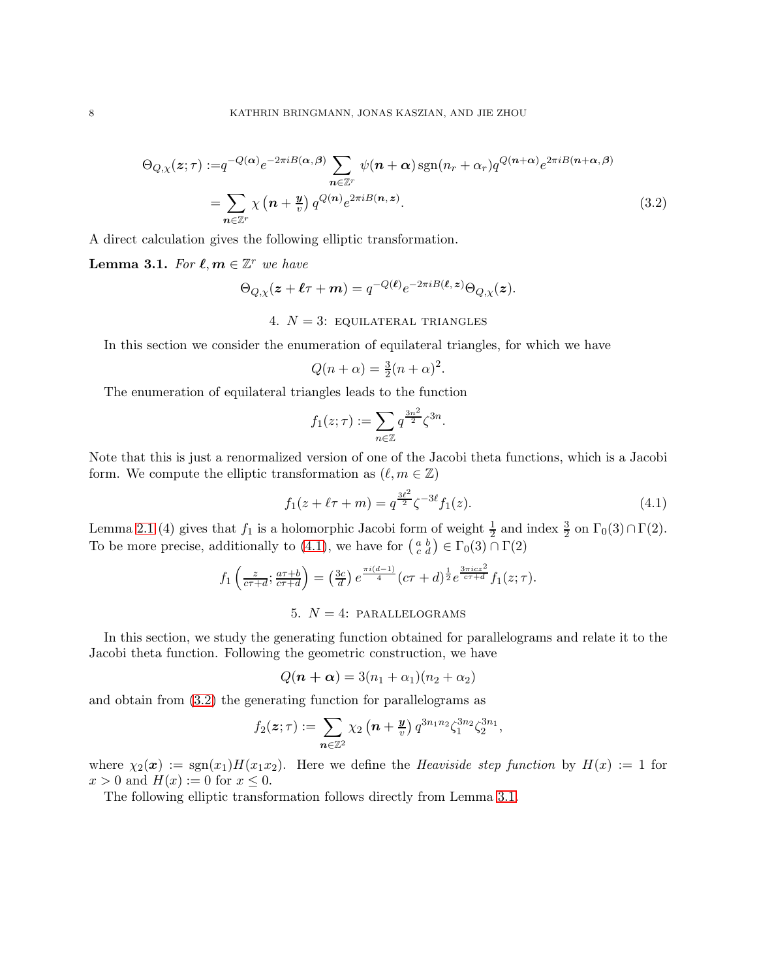$$
\Theta_{Q,\chi}(z;\tau) := q^{-Q(\alpha)} e^{-2\pi i B(\alpha,\beta)} \sum_{\mathbf{n}\in\mathbb{Z}^r} \psi(\mathbf{n}+\alpha) \operatorname{sgn}(n_r+\alpha_r) q^{Q(\mathbf{n}+\alpha)} e^{2\pi i B(\mathbf{n}+\alpha,\beta)}
$$

$$
= \sum_{\mathbf{n}\in\mathbb{Z}^r} \chi(\mathbf{n}+\frac{\mathbf{y}}{v}) q^{Q(\mathbf{n})} e^{2\pi i B(\mathbf{n},\mathbf{z})}.
$$
(3.2)

A direct calculation gives the following elliptic transformation.

<span id="page-7-2"></span>**Lemma 3.1.** For  $\ell, m \in \mathbb{Z}^r$  we have

$$
\Theta_{Q,\chi}(\boldsymbol{z}+\boldsymbol{\ell}\tau+\boldsymbol{m})=q^{-Q(\boldsymbol{\ell})}e^{-2\pi iB(\boldsymbol{\ell},\boldsymbol{z})}\Theta_{Q,\chi}(\boldsymbol{z}).
$$

## 4.  $N = 3$ : EQUILATERAL TRIANGLES

In this section we consider the enumeration of equilateral triangles, for which we have

<span id="page-7-1"></span>
$$
Q(n+\alpha) = \frac{3}{2}(n+\alpha)^2.
$$

The enumeration of equilateral triangles leads to the function

<span id="page-7-0"></span>
$$
f_1(z;\tau) := \sum_{n \in \mathbb{Z}} q^{\frac{3n^2}{2}} \zeta^{3n}.
$$

Note that this is just a renormalized version of one of the Jacobi theta functions, which is a Jacobi form. We compute the elliptic transformation as  $(\ell, m \in \mathbb{Z})$ 

$$
f_1(z + \ell \tau + m) = q^{\frac{3\ell^2}{2}} \zeta^{-3\ell} f_1(z). \tag{4.1}
$$

Lemma 2.1 (4) gives that  $f_1$  is a holomorphic Jacobi form of weight  $\frac{1}{2}$  and index  $\frac{3}{2}$  on  $\Gamma_0(3) \cap \Gamma(2)$ . To be more precise, additionally to [\(4.1\)](#page-7-0), we have for  $\begin{pmatrix} a & b \\ c & d \end{pmatrix} \in \Gamma_0(3) \cap \Gamma(2)$ 

$$
f_1\left(\frac{z}{c\tau+d};\frac{a\tau+b}{c\tau+d}\right) = \left(\frac{3c}{d}\right)e^{\frac{\pi i(d-1)}{4}}(c\tau+d)^{\frac{1}{2}}e^{\frac{3\pi i c z^2}{c\tau+d}}f_1(z;\tau).
$$

# 5.  $N = 4$ : PARALLELOGRAMS

In this section, we study the generating function obtained for parallelograms and relate it to the Jacobi theta function. Following the geometric construction, we have

$$
Q(n+\alpha)=3(n_1+\alpha_1)(n_2+\alpha_2)
$$

and obtain from [\(3.2\)](#page-7-1) the generating function for parallelograms as

$$
f_2(\boldsymbol{z};\tau) := \sum_{\boldsymbol{n}\in\mathbb{Z}^2} \chi_2\left(\boldsymbol{n} + \frac{\boldsymbol{y}}{v}\right) q^{3n_1n_2} \zeta_1^{3n_2} \zeta_2^{3n_1},
$$

where  $\chi_2(x) := \text{sgn}(x_1)H(x_1x_2)$ . Here we define the Heaviside step function by  $H(x) := 1$  for  $x > 0$  and  $H(x) := 0$  for  $x \leq 0$ .

The following elliptic transformation follows directly from Lemma [3.1.](#page-7-2)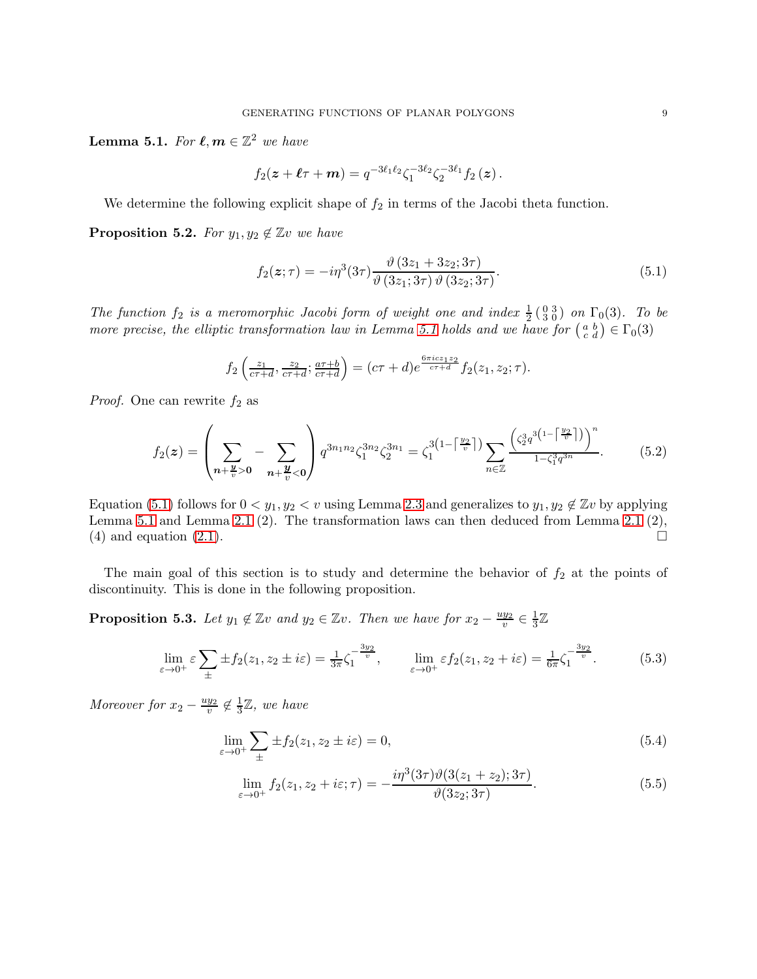<span id="page-8-0"></span>**Lemma 5.1.** For  $\ell, m \in \mathbb{Z}^2$  we have

$$
f_2(z+\ell\tau+m)=q^{-3\ell_1\ell_2}\zeta_1^{-3\ell_2}\zeta_2^{-3\ell_1}f_2(z).
$$

We determine the following explicit shape of  $f_2$  in terms of the Jacobi theta function.

<span id="page-8-5"></span>**Proposition 5.2.** For  $y_1, y_2 \notin \mathbb{Z}v$  we have

<span id="page-8-1"></span>
$$
f_2(z;\tau) = -i\eta^3(3\tau)\frac{\vartheta(3z_1 + 3z_2; 3\tau)}{\vartheta(3z_1; 3\tau)\vartheta(3z_2; 3\tau)}.
$$
\n(5.1)

The function  $f_2$  is a meromorphic Jacobi form of weight one and index  $\frac{1}{2}$  ( $\frac{0}{3}$ ) on  $\Gamma_0(3)$ . To be more precise, the elliptic transformation law in Lemma [5.1](#page-8-0) holds and we have for  $\begin{pmatrix} a & b \\ c & d \end{pmatrix} \in \Gamma_0(3)$ 

<span id="page-8-2"></span>
$$
f_2\left(\frac{z_1}{c\tau+d}, \frac{z_2}{c\tau+d}; \frac{a\tau+b}{c\tau+d}\right) = (c\tau+d)e^{\frac{6\pi i cz_1 z_2}{c\tau+d}}f_2(z_1, z_2; \tau).
$$

*Proof.* One can rewrite  $f_2$  as

$$
f_2(z) = \left(\sum_{n+\frac{y}{v} > 0} - \sum_{n+\frac{y}{v} < 0}\right) q^{3n_1 n_2} \zeta_1^{3n_2} \zeta_2^{3n_1} = \zeta_1^{3(1 - \left\lceil \frac{y_2}{v} \right\rceil)} \sum_{n \in \mathbb{Z}} \frac{\left(\zeta_2^3 q^{3\left(1 - \left\lceil \frac{y_2}{v} \right\rceil}\right)\right)^n}{1 - \zeta_1^3 q^{3n}}.
$$
 (5.2)

Equation [\(5.1\)](#page-8-1) follows for  $0 < y_1, y_2 < v$  using Lemma [2.3](#page-3-1) and generalizes to  $y_1, y_2 \notin \mathbb{Z}v$  by applying Lemma [5.1](#page-8-0) and Lemma 2.1 (2). The transformation laws can then deduced from Lemma 2.1 (2), (4) and equation [\(2.1\)](#page-2-0).  $\Box$ 

The main goal of this section is to study and determine the behavior of  $f_2$  at the points of discontinuity. This is done in the following proposition.

**Proposition 5.3.** Let  $y_1 \notin \mathbb{Z}v$  and  $y_2 \in \mathbb{Z}v$ . Then we have for  $x_2 - \frac{uy_2}{v}$  $\frac{y_2}{v} \in \frac{1}{3}$  $\frac{1}{3}\mathbb{Z}$ 

$$
\lim_{\varepsilon \to 0^+} \varepsilon \sum_{\pm} \pm f_2(z_1, z_2 \pm i\varepsilon) = \frac{1}{3\pi} \zeta_1^{-\frac{3y_2}{v}}, \qquad \lim_{\varepsilon \to 0^+} \varepsilon f_2(z_1, z_2 + i\varepsilon) = \frac{1}{6\pi} \zeta_1^{-\frac{3y_2}{v}}.
$$
(5.3)

Moreover for  $x_2 - \frac{uy_2}{v} \notin \frac{1}{3}$  $\frac{1}{3}\mathbb{Z}$ , we have

$$
\lim_{\varepsilon \to 0^+} \sum_{\pm} \pm f_2(z_1, z_2 \pm i\varepsilon) = 0,\tag{5.4}
$$

<span id="page-8-6"></span><span id="page-8-4"></span><span id="page-8-3"></span>
$$
\lim_{\varepsilon \to 0^+} f_2(z_1, z_2 + i\varepsilon; \tau) = -\frac{i\eta^3(3\tau)\vartheta(3(z_1 + z_2); 3\tau)}{\vartheta(3z_2; 3\tau)}.
$$
\n(5.5)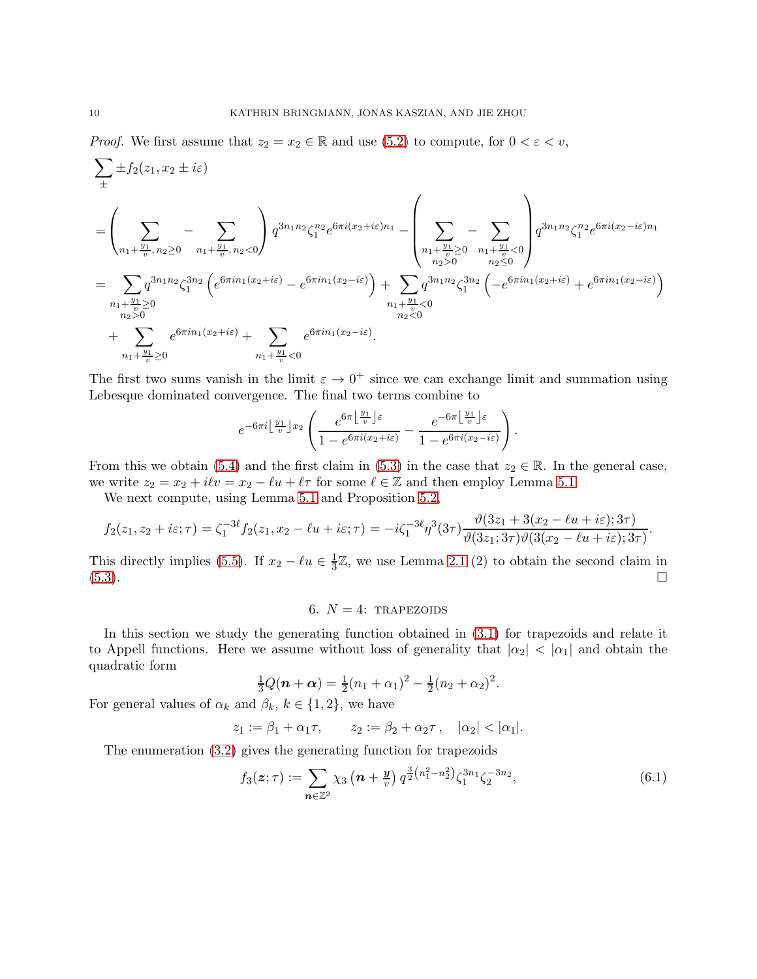*Proof.* We first assume that  $z_2 = x_2 \in \mathbb{R}$  and use [\(5.2\)](#page-8-2) to compute, for  $0 < \varepsilon < v$ ,

$$
\sum_{\pm} \pm f_2(z_1, x_2 \pm i\varepsilon)
$$
\n
$$
= \left(\sum_{n_1 + \frac{y_1}{v}, n_2 \ge 0} - \sum_{n_1 + \frac{y_1}{v}, n_2 < 0} \right) q^{3n_1 n_2} \zeta_1^{n_2} e^{6\pi i (x_2 + i\varepsilon)n_1} - \left(\sum_{n_1 + \frac{y_1}{v} \ge 0} - \sum_{n_1 + \frac{y_1}{v} < 0} \right) q^{3n_1 n_2} \zeta_1^{n_2} e^{6\pi i (x_2 - i\varepsilon)n_1}
$$
\n
$$
= \sum_{\substack{n_1 + \frac{y_1}{v} \ge 0 \\ n_2 > 0}} q^{3n_1 n_2} \zeta_1^{3n_2} \left(e^{6\pi i n_1 (x_2 + i\varepsilon)} - e^{6\pi i n_1 (x_2 - i\varepsilon)}\right) + \sum_{\substack{n_1 + \frac{y_1}{v} < 0 \\ n_2 < 0}} q^{3n_1 n_2} \zeta_1^{3n_2} \left(-e^{6\pi i n_1 (x_2 + i\varepsilon)} + e^{6\pi i n_1 (x_2 - i\varepsilon)}\right)
$$
\n
$$
+ \sum_{n_1 + \frac{y_1}{v} \ge 0} e^{6\pi i n_1 (x_2 + i\varepsilon)} + \sum_{n_1 + \frac{y_1}{v} < 0} e^{6\pi i n_1 (x_2 - i\varepsilon)}.
$$

The first two sums vanish in the limit  $\varepsilon \to 0^+$  since we can exchange limit and summation using Lebesque dominated convergence. The final two terms combine to

$$
e^{-6\pi i \left\lfloor \frac{y_1}{v} \right\rfloor x_2} \left( \frac{e^{6\pi \left\lfloor \frac{y_1}{v} \right\rfloor \varepsilon}}{1 - e^{6\pi i (x_2 + i\varepsilon)}} - \frac{e^{-6\pi \left\lfloor \frac{y_1}{v} \right\rfloor \varepsilon}}{1 - e^{6\pi i (x_2 - i\varepsilon)}} \right).
$$

From this we obtain [\(5.4\)](#page-8-3) and the first claim in [\(5.3\)](#page-8-4) in the case that  $z_2 \in \mathbb{R}$ . In the general case, we write  $z_2 = x_2 + i\ell v = x_2 - \ell u + \ell \tau$  for some  $\ell \in \mathbb{Z}$  and then employ Lemma [5.1.](#page-8-0)

We next compute, using Lemma [5.1](#page-8-0) and Proposition [5.2,](#page-8-5)

$$
f_2(z_1, z_2 + i\varepsilon; \tau) = \zeta_1^{-3\ell} f_2(z_1, x_2 - \ell u + i\varepsilon; \tau) = -i\zeta_1^{-3\ell} \eta^3(3\tau) \frac{\vartheta(3z_1 + 3(x_2 - \ell u + i\varepsilon); 3\tau)}{\vartheta(3z_1; 3\tau)\vartheta(3(x_2 - \ell u + i\varepsilon); 3\tau)}.
$$

This directly implies [\(5.5\)](#page-8-6). If  $x_2 - \ell u \in \frac{1}{3}$  $\frac{1}{3}\mathbb{Z}$ , we use Lemma 2.1 (2) to obtain the second claim in [\(5.3\)](#page-8-4).

# <span id="page-9-0"></span>6.  $N = 4$ : TRAPEZOIDS

In this section we study the generating function obtained in [\(3.1\)](#page-5-1) for trapezoids and relate it to Appell functions. Here we assume without loss of generality that  $|\alpha_2| < |\alpha_1|$  and obtain the quadratic form

$$
\frac{1}{3}Q(n+\alpha) = \frac{1}{2}(n_1+\alpha_1)^2 - \frac{1}{2}(n_2+\alpha_2)^2.
$$

For general values of  $\alpha_k$  and  $\beta_k$ ,  $k \in \{1, 2\}$ , we have

$$
z_1 := \beta_1 + \alpha_1 \tau, \qquad z_2 := \beta_2 + \alpha_2 \tau, \quad |\alpha_2| < |\alpha_1|.
$$

The enumeration [\(3.2\)](#page-7-1) gives the generating function for trapezoids

$$
f_3(z;\tau) := \sum_{n \in \mathbb{Z}^2} \chi_3\left(n + \frac{y}{v}\right) q^{\frac{3}{2}\left(n_1^2 - n_2^2\right)} \zeta_1^{3n_1} \zeta_2^{-3n_2},\tag{6.1}
$$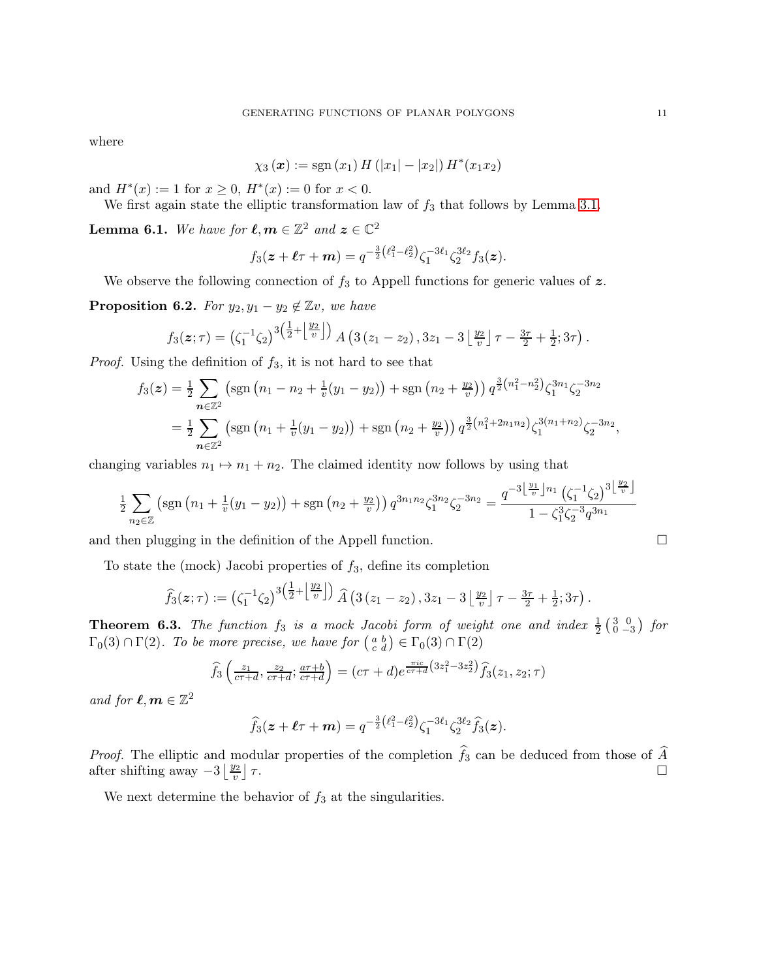where

$$
\chi_3(x) := \mathrm{sgn}(x_1) H(|x_1| - |x_2|) H^*(x_1 x_2)
$$

and  $H^*(x) := 1$  for  $x \ge 0$ ,  $H^*(x) := 0$  for  $x < 0$ .

We first again state the elliptic transformation law of  $f_3$  that follows by Lemma [3.1.](#page-7-2)

<span id="page-10-2"></span>**Lemma 6.1.** We have for  $\ell, m \in \mathbb{Z}^2$  and  $\mathbf{z} \in \mathbb{C}^2$ 

$$
f_3(\mathbf{z}+\boldsymbol{\ell}\tau+\boldsymbol{m})=q^{-\frac{3}{2}(\ell_1^2-\ell_2^2)}\zeta_1^{-3\ell_1}\zeta_2^{3\ell_2}f_3(\mathbf{z}).
$$

We observe the following connection of  $f_3$  to Appell functions for generic values of  $z$ .

<span id="page-10-1"></span>**Proposition 6.2.** For  $y_2, y_1 - y_2 \notin \mathbb{Z}v$ , we have

$$
f_3(z;\tau) = \left(\zeta_1^{-1}\zeta_2\right)^3\left(\frac{1}{2}+\left\lfloor\frac{y_2}{v}\right\rfloor\right) A\left(3\left(z_1-z_2\right),3z_1-3\left\lfloor\frac{y_2}{v}\right\rfloor\tau-\frac{3\tau}{2}+\frac{1}{2};3\tau\right).
$$

*Proof.* Using the definition of  $f_3$ , it is not hard to see that

$$
f_3(z) = \frac{1}{2} \sum_{n \in \mathbb{Z}^2} \left( \text{sgn} \left( n_1 - n_2 + \frac{1}{v} (y_1 - y_2) \right) + \text{sgn} \left( n_2 + \frac{y_2}{v} \right) \right) q^{\frac{3}{2} \left( n_1^2 - n_2^2 \right)} \zeta_1^{3n_1} \zeta_2^{-3n_2}
$$
  
=  $\frac{1}{2} \sum_{n \in \mathbb{Z}^2} \left( \text{sgn} \left( n_1 + \frac{1}{v} (y_1 - y_2) \right) + \text{sgn} \left( n_2 + \frac{y_2}{v} \right) \right) q^{\frac{3}{2} \left( n_1^2 + 2n_1 n_2 \right)} \zeta_1^{3(n_1 + n_2)} \zeta_2^{-3n_2},$ 

changing variables  $n_1 \mapsto n_1 + n_2$ . The claimed identity now follows by using that

$$
\frac{1}{2} \sum_{n_2 \in \mathbb{Z}} \left( \text{sgn} \left( n_1 + \frac{1}{v} (y_1 - y_2) \right) + \text{sgn} \left( n_2 + \frac{y_2}{v} \right) \right) q^{3n_1 n_2} \zeta_1^{3n_2} \zeta_2^{-3n_2} = \frac{q^{-3 \left\lfloor \frac{y_1}{v} \right\rfloor n_1} \left( \zeta_1^{-1} \zeta_2 \right)^{3 \left\lfloor \frac{y_2}{v} \right\rfloor}}{1 - \zeta_1^3 \zeta_2^{-3} q^{3n_1}}
$$

and then plugging in the definition of the Appell function.

To state the (mock) Jacobi properties of  $f_3$ , define its completion

$$
\widehat{f}_3(z;\tau) := (\zeta_1^{-1}\zeta_2)^{3\left(\frac{1}{2}+\left\lfloor\frac{y_2}{v}\right\rfloor\right)} \widehat{A}\left(3(z_1-z_2),3z_1-3\left\lfloor\frac{y_2}{v}\right\rfloor\tau-\frac{3\tau}{2}+\frac{1}{2};3\tau\right).
$$

<span id="page-10-0"></span>**Theorem 6.3.** The function  $f_3$  is a mock Jacobi form of weight one and index  $\frac{1}{2}$  $\begin{pmatrix} 3 & 0 \\ 0 & -3 \end{pmatrix}$  for  $\Gamma_0(3) \cap \Gamma(2)$ . To be more precise, we have for  $\begin{pmatrix} a & b \\ c & d \end{pmatrix} \in \Gamma_0(3) \cap \Gamma(2)$ 

$$
\hat{f}_3\left(\frac{z_1}{c\tau+d}, \frac{z_2}{c\tau+d}; \frac{a\tau+b}{c\tau+d}\right) = (c\tau+d)e^{\frac{\pi ic}{c\tau+d}(3z_1^2-3z_2^2)}\hat{f}_3(z_1, z_2; \tau)
$$

and for  $\boldsymbol{\ell}, \boldsymbol{m} \in \mathbb{Z}^2$ 

$$
\widehat{f}_3(\mathbf{z}+\boldsymbol{\ell}\tau+\mathbf{m})=q^{-\frac{3}{2}(\ell_1^2-\ell_2^2)}\zeta_1^{-3\ell_1}\zeta_2^{3\ell_2}\widehat{f}_3(\mathbf{z}).
$$

*Proof.* The elliptic and modular properties of the completion  $f_3$  can be deduced from those of A after shifting away  $-3\left\lfloor\frac{y_2}{v}\right\rfloor$  $\tau$ .

We next determine the behavior of  $f_3$  at the singularities.

$$
\qquad \qquad \Box
$$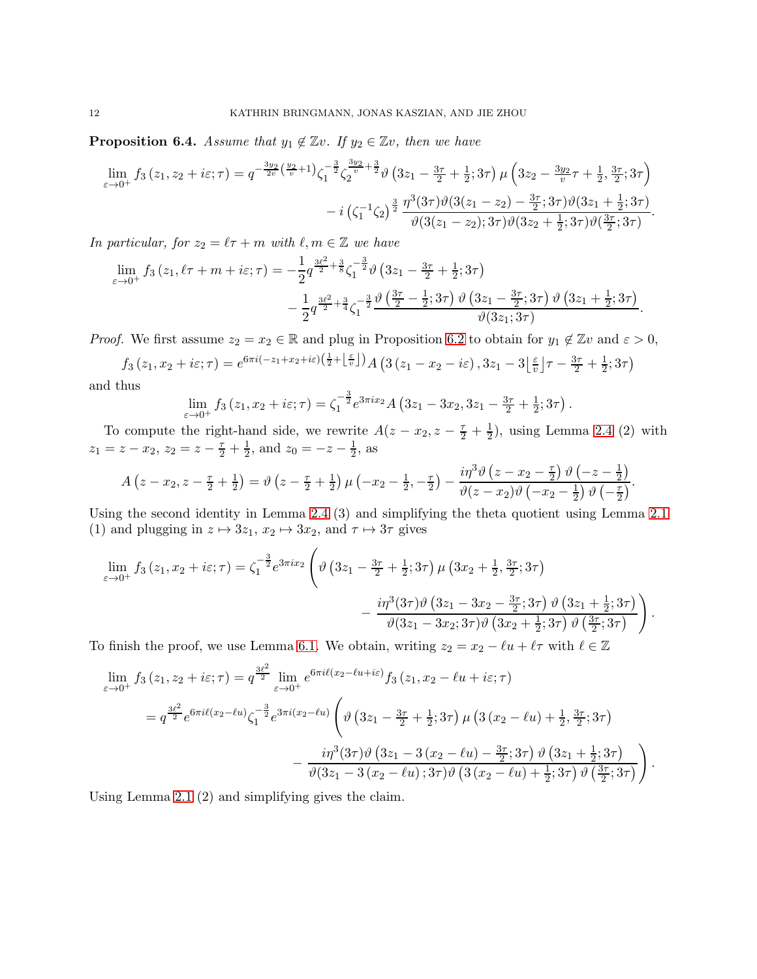**Proposition 6.4.** Assume that  $y_1 \notin \mathbb{Z}v$ . If  $y_2 \in \mathbb{Z}v$ , then we have

$$
\lim_{\varepsilon \to 0^+} f_3(z_1, z_2 + i\varepsilon; \tau) = q^{-\frac{3y_2}{2v}(\frac{y_2}{v}+1)} \zeta_1^{-\frac{3}{2}} \zeta_2^{\frac{3y_2}{v}+\frac{3}{2}} \vartheta \left(3z_1 - \frac{3\tau}{2} + \frac{1}{2}; 3\tau\right) \mu \left(3z_2 - \frac{3y_2}{v}\tau + \frac{1}{2}, \frac{3\tau}{2}; 3\tau\right) \n- i \left(\zeta_1^{-1}\zeta_2\right)^{\frac{3}{2}} \frac{\eta^3(3\tau)\vartheta(3(z_1 - z_2) - \frac{3\tau}{2}; 3\tau)\vartheta(3z_1 + \frac{1}{2}; 3\tau)}{\vartheta(3(z_1 - z_2); 3\tau)\vartheta(3z_2 + \frac{1}{2}; 3\tau)\vartheta(\frac{3\tau}{2}; 3\tau)}.
$$

In particular, for  $z_2 = \ell \tau + m$  with  $\ell, m \in \mathbb{Z}$  we have

$$
\lim_{\varepsilon \to 0^+} f_3(z_1, \ell \tau + m + i\varepsilon; \tau) = -\frac{1}{2} q^{\frac{3\ell^2}{2} + \frac{3}{8}} \zeta_1^{-\frac{3}{2}} \vartheta \left( 3z_1 - \frac{3\tau}{2} + \frac{1}{2}; 3\tau \right) \n- \frac{1}{2} q^{\frac{3\ell^2}{2} + \frac{3}{4}} \zeta_1^{-\frac{3}{2}} \frac{\vartheta \left( \frac{3\tau}{2} - \frac{1}{2}; 3\tau \right) \vartheta \left( 3z_1 - \frac{3\tau}{2}; 3\tau \right) \vartheta \left( 3z_1 + \frac{1}{2}; 3\tau \right)}{\vartheta(3z_1; 3\tau)}.
$$

*Proof.* We first assume  $z_2 = x_2 \in \mathbb{R}$  and plug in Proposition [6.2](#page-10-1) to obtain for  $y_1 \notin \mathbb{Z}v$  and  $\varepsilon > 0$ ,

$$
f_3(z_1, x_2 + i\varepsilon; \tau) = e^{6\pi i(-z_1 + x_2 + i\varepsilon)\left(\frac{1}{2} + \left[\frac{\varepsilon}{v}\right]\right)} A\left(3(z_1 - x_2 - i\varepsilon), 3z_1 - 3\left[\frac{\varepsilon}{v}\right]\tau - \frac{3\tau}{2} + \frac{1}{2}; 3\tau\right)
$$

and thus

$$
\lim_{\varepsilon \to 0^+} f_3(z_1, x_2 + i\varepsilon; \tau) = \zeta_1^{-\frac{3}{2}} e^{3\pi i x_2} A \left( 3z_1 - 3x_2, 3z_1 - \frac{3\tau}{2} + \frac{1}{2}; 3\tau \right).
$$

To compute the right-hand side, we rewrite  $A(z - x_2, z - \frac{\tau}{2} + \frac{1}{2})$  $\frac{1}{2}$ , using Lemma [2.4](#page-3-0) (2) with  $z_1 = z - x_2, z_2 = z - \frac{\tau}{2} + \frac{1}{2}$  $\frac{1}{2}$ , and  $z_0 = -z - \frac{1}{2}$  $\frac{1}{2}$ , as

$$
A\left(z-x_2,z-\frac{\tau}{2}+\frac{1}{2}\right)=\vartheta\left(z-\frac{\tau}{2}+\frac{1}{2}\right)\mu\left(-x_2-\frac{1}{2},-\frac{\tau}{2}\right)-\frac{i\eta^3\vartheta\left(z-x_2-\frac{\tau}{2}\right)\vartheta\left(-z-\frac{1}{2}\right)}{\vartheta(z-x_2)\vartheta\left(-x_2-\frac{1}{2}\right)\vartheta\left(-\frac{\tau}{2}\right)}.
$$

Using the second identity in Lemma [2.4](#page-3-0) (3) and simplifying the theta quotient using Lemma 2.1 (1) and plugging in  $z \mapsto 3z_1, x_2 \mapsto 3x_2$ , and  $\tau \mapsto 3\tau$  gives

$$
\lim_{\varepsilon \to 0^+} f_3(z_1, x_2 + i\varepsilon; \tau) = \zeta_1^{-\frac{3}{2}} e^{3\pi i x_2} \left( \vartheta \left( 3z_1 - \frac{3\tau}{2} + \frac{1}{2}; 3\tau \right) \mu \left( 3x_2 + \frac{1}{2}, \frac{3\tau}{2}; 3\tau \right) \right. \\
\left. - \frac{i\eta^3 (3\tau) \vartheta \left( 3z_1 - 3x_2 - \frac{3\tau}{2}; 3\tau \right) \vartheta \left( 3z_1 + \frac{1}{2}; 3\tau \right)}{\vartheta (3z_1 - 3x_2; 3\tau) \vartheta \left( 3x_2 + \frac{1}{2}; 3\tau \right) \vartheta \left( \frac{3\tau}{2}; 3\tau \right)} \right).
$$

To finish the proof, we use Lemma [6.1.](#page-10-2) We obtain, writing  $z_2 = x_2 - \ell u + \ell \tau$  with  $\ell \in \mathbb{Z}$ 

$$
\lim_{\varepsilon \to 0^{+}} f_{3}(z_{1}, z_{2} + i\varepsilon; \tau) = q^{\frac{3\ell^{2}}{2}} \lim_{\varepsilon \to 0^{+}} e^{6\pi i \ell (x_{2} - \ell u + i\varepsilon)} f_{3}(z_{1}, x_{2} - \ell u + i\varepsilon; \tau)
$$
\n
$$
= q^{\frac{3\ell^{2}}{2}} e^{6\pi i \ell (x_{2} - \ell u)} \zeta_{1}^{-\frac{3}{2}} e^{3\pi i (x_{2} - \ell u)} \left( \vartheta \left( 3z_{1} - \frac{3\tau}{2} + \frac{1}{2}; 3\tau \right) \mu \left( 3(x_{2} - \ell u) + \frac{1}{2}, \frac{3\tau}{2}; 3\tau \right) \right.
$$
\n
$$
- \frac{i\eta^{3}(3\tau)\vartheta \left( 3z_{1} - 3(x_{2} - \ell u) - \frac{3\tau}{2}; 3\tau \right) \vartheta \left( 3z_{1} + \frac{1}{2}; 3\tau \right)}{\vartheta(3z_{1} - 3(x_{2} - \ell u); 3\tau)\vartheta \left( 3(x_{2} - \ell u) + \frac{1}{2}; 3\tau \right) \vartheta \left( \frac{3\tau}{2}; 3\tau \right)}.
$$

Using Lemma 2.1 (2) and simplifying gives the claim.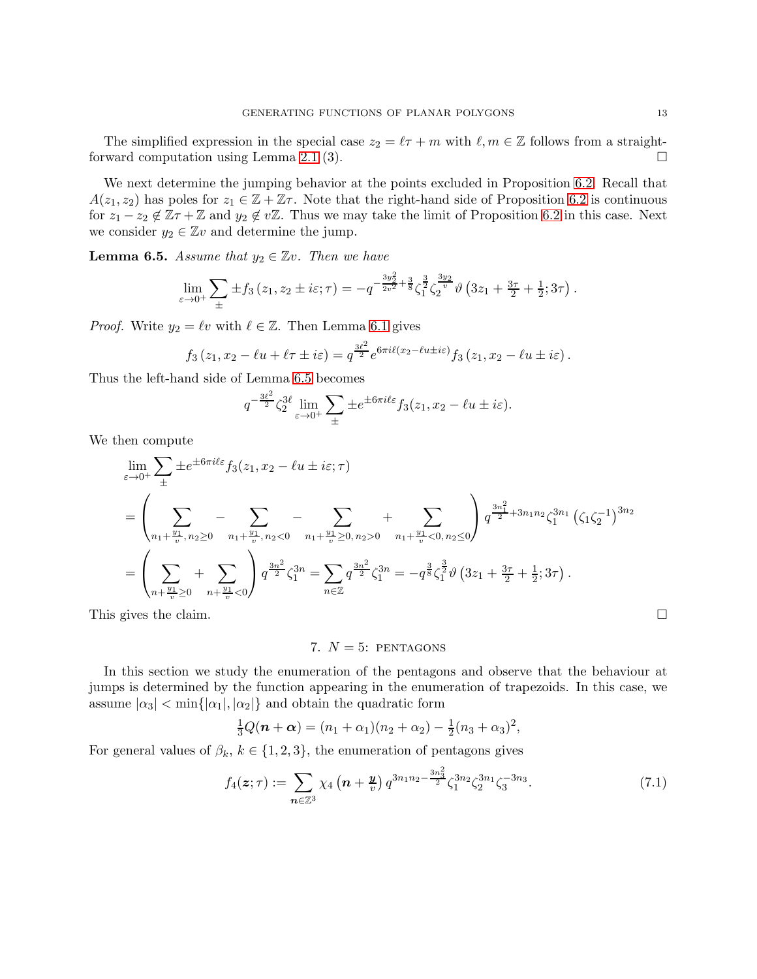The simplified expression in the special case  $z_2 = \ell \tau + m$  with  $\ell, m \in \mathbb{Z}$  follows from a straight-<br>ward computation using Lemma 2.1 (3). forward computation using Lemma 2.1 (3).

We next determine the jumping behavior at the points excluded in Proposition [6.2.](#page-10-1) Recall that  $A(z_1, z_2)$  has poles for  $z_1 \in \mathbb{Z} + \mathbb{Z}\tau$ . Note that the right-hand side of Proposition [6.2](#page-10-1) is continuous for  $z_1 - z_2 \notin \mathbb{Z}\tau + \mathbb{Z}$  and  $y_2 \notin v\mathbb{Z}$ . Thus we may take the limit of Proposition [6.2](#page-10-1) in this case. Next we consider  $y_2 \in \mathbb{Z}v$  and determine the jump.

<span id="page-12-1"></span>**Lemma 6.5.** Assume that  $y_2 \in \mathbb{Z}v$ . Then we have

$$
\lim_{\varepsilon \to 0^+} \sum_{\pm} \pm f_3(z_1, z_2 \pm i\varepsilon; \tau) = -q^{-\frac{3y_2^2}{2v^2} + \frac{3}{8}} \zeta_1^{\frac{3}{2}} \zeta_2^{\frac{3y_2}{v}} \vartheta \left(3z_1 + \frac{3\tau}{2} + \frac{1}{2}; 3\tau\right).
$$

*Proof.* Write  $y_2 = \ell v$  with  $\ell \in \mathbb{Z}$ . Then Lemma [6.1](#page-10-2) gives

$$
f_3(z_1, x_2 - \ell u + \ell \tau \pm i\varepsilon) = q^{\frac{3\ell^2}{2}} e^{6\pi i \ell (x_2 - \ell u \pm i\varepsilon)} f_3(z_1, x_2 - \ell u \pm i\varepsilon).
$$

Thus the left-hand side of Lemma [6.5](#page-12-1) becomes

$$
q^{-\frac{3\ell^2}{2}}\zeta_2^{3\ell} \lim_{\varepsilon \to 0^+} \sum_{\pm} \pm e^{\pm 6\pi i \ell \varepsilon} f_3(z_1, x_2 - \ell u \pm i\varepsilon).
$$

We then compute

$$
\lim_{\varepsilon \to 0^{+}} \sum_{\pm} \pm e^{\pm 6 \pi i \ell \varepsilon} f_{3}(z_{1}, x_{2} - \ell u \pm i \varepsilon; \tau)
$$
\n
$$
= \left( \sum_{n_{1} + \frac{y_{1}}{v}, n_{2} \ge 0} - \sum_{n_{1} + \frac{y_{1}}{v}, n_{2} < 0} - \sum_{n_{1} + \frac{y_{1}}{v} \ge 0, n_{2} > 0} + \sum_{n_{1} + \frac{y_{1}}{v} < 0, n_{2} \le 0} \right) q^{\frac{3n_{1}^{2}}{2} + 3n_{1}n_{2}} \zeta_{1}^{3n_{1}} (\zeta_{1} \zeta_{2}^{-1})^{3n_{2}}
$$
\n
$$
= \left( \sum_{n + \frac{y_{1}}{v} \ge 0} + \sum_{n + \frac{y_{1}}{v} < 0} \right) q^{\frac{3n^{2}}{2}} \zeta_{1}^{3n} = \sum_{n \in \mathbb{Z}} q^{\frac{3n^{2}}{2}} \zeta_{1}^{3n} = -q^{\frac{3}{8}} \zeta_{1}^{\frac{3}{2}} \vartheta \left( 3z_{1} + \frac{3\tau}{2} + \frac{1}{2}; 3\tau \right).
$$

This gives the claim.

### 7.  $N = 5$ : PENTAGONS

In this section we study the enumeration of the pentagons and observe that the behaviour at jumps is determined by the function appearing in the enumeration of trapezoids. In this case, we assume  $|\alpha_3| < \min\{|\alpha_1|, |\alpha_2|\}$  and obtain the quadratic form

$$
\frac{1}{3}Q(n+\alpha) = (n_1 + \alpha_1)(n_2 + \alpha_2) - \frac{1}{2}(n_3 + \alpha_3)^2,
$$

For general values of  $\beta_k$ ,  $k \in \{1, 2, 3\}$ , the enumeration of pentagons gives

<span id="page-12-0"></span>
$$
f_4(z;\tau) := \sum_{\mathbf{n}\in\mathbb{Z}^3} \chi_4\left(\mathbf{n} + \frac{\mathbf{y}}{v}\right) q^{3n_1n_2 - \frac{3n_3^2}{2}} \zeta_1^{3n_2} \zeta_2^{3n_1} \zeta_3^{-3n_3}.\tag{7.1}
$$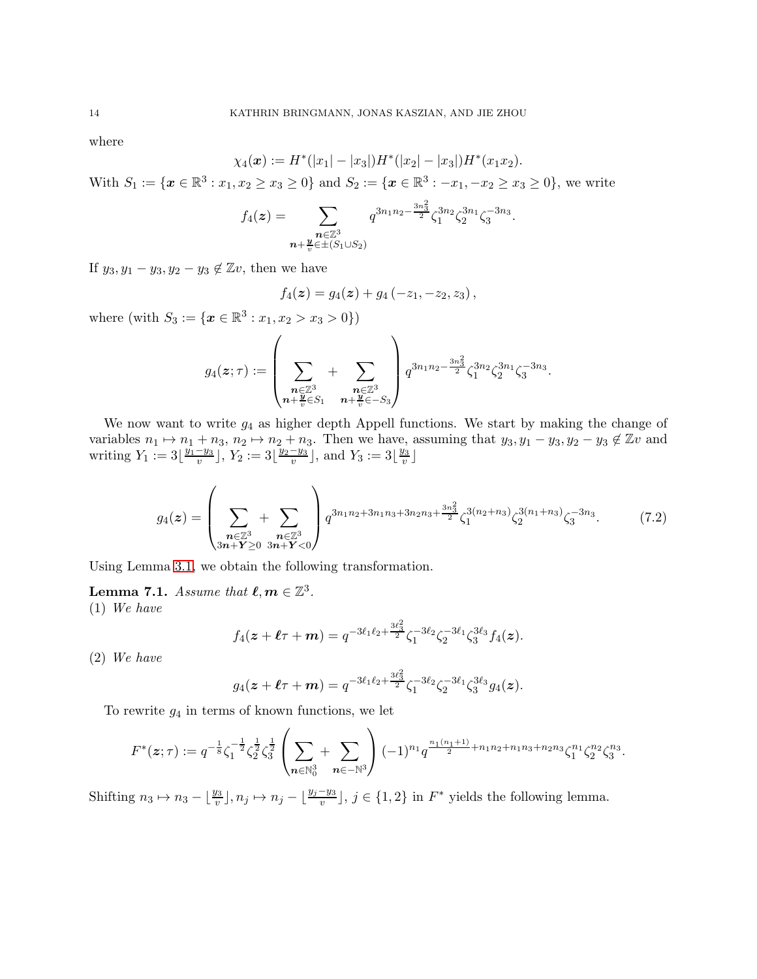where

$$
\chi_4(\boldsymbol{x}) := H^*(|x_1| - |x_3|)H^*(|x_2| - |x_3|)H^*(x_1x_2).
$$

With  $S_1 := \{ \mathbf{x} \in \mathbb{R}^3 : x_1, x_2 \ge x_3 \ge 0 \}$  and  $S_2 := \{ \mathbf{x} \in \mathbb{R}^3 : -x_1, -x_2 \ge x_3 \ge 0 \}$ , we write

$$
f_4(z) = \sum_{\substack{n \in \mathbb{Z}^3 \\ n + \frac{y}{v} \in \pm (S_1 \cup S_2)}} q^{3n_1 n_2 - \frac{3n_3^2}{2}} \zeta_1^{3n_2} \zeta_2^{3n_1} \zeta_3^{-3n_3}.
$$

If  $y_3, y_1 - y_3, y_2 - y_3 \notin \mathbb{Z}v$ , then we have

<span id="page-13-0"></span>
$$
f_4(\bm{z}) = g_4(\bm{z}) + g_4\left(-z_1, -z_2, z_3\right),
$$

where (with  $S_3 := \{x \in \mathbb{R}^3 : x_1, x_2 > x_3 > 0\}$ )

$$
g_4(\boldsymbol{z};\tau) := \left(\sum_{\substack{\boldsymbol{n} \in \mathbb{Z}^3 \\ \boldsymbol{n} + \frac{\boldsymbol{y}}{v} \in S_1}} + \sum_{\substack{\boldsymbol{n} \in \mathbb{Z}^3 \\ \boldsymbol{n} + \frac{\boldsymbol{y}}{v} \in -S_3}} \right) q^{3n_1n_2 - \frac{3n_3^2}{2}} \zeta_1^{3n_2} \zeta_2^{3n_1} \zeta_3^{-3n_3}.
$$

We now want to write  $g_4$  as higher depth Appell functions. We start by making the change of variables  $n_1 \mapsto n_1 + n_3$ ,  $n_2 \mapsto n_2 + n_3$ . Then we have, assuming that  $y_3, y_1 - y_3, y_2 - y_3 \notin \mathbb{Z}v$  and writing  $Y_1 := 3\left\lfloor \frac{y_1 - y_3}{v} \right\rfloor$ ,  $Y_2 := 3\left\lfloor \frac{y_2 - y_3}{v} \right\rfloor$ , and  $Y_3 := 3\left\lfloor \frac{y_3 - y_3}{v} \right\rfloor$  $\frac{v}{v}$ 

$$
g_4(z) = \left(\sum_{\substack{n \in \mathbb{Z}^3\\3n+Y \ge 0}} + \sum_{\substack{n \in \mathbb{Z}^3\\3n+Y < 0}}\right) q^{3n_1n_2 + 3n_1n_3 + 3n_2n_3 + \frac{3n_3^2}{2}} \zeta_1^{3(n_2+n_3)} \zeta_2^{3(n_1+n_3)} \zeta_3^{-3n_3}.\tag{7.2}
$$

Using Lemma [3.1,](#page-7-2) we obtain the following transformation.

<span id="page-13-1"></span>**Lemma 7.1.** Assume that  $\ell, m \in \mathbb{Z}^3$ . (1) We have

$$
f_4(z+\ell\tau+m)=q^{-3\ell_1\ell_2+\frac{3\ell_3^2}{2}}\zeta_1^{-3\ell_2}\zeta_2^{-3\ell_1}\zeta_3^{3\ell_3}f_4(z).
$$

(2) We have

$$
g_4(\boldsymbol{z}+\boldsymbol{\ell}\tau+\boldsymbol{m})=q^{-3\ell_1\ell_2+\frac{3\ell_3^2}{2}}\zeta_1^{-3\ell_2}\zeta_2^{-3\ell_1}\zeta_3^{3\ell_3}g_4(\boldsymbol{z}).
$$

To rewrite  $g_4$  in terms of known functions, we let

$$
F^*(\boldsymbol{z};\tau) := q^{-\frac{1}{8}} \zeta_1^{-\frac{1}{2}} \zeta_2^{\frac{1}{2}} \zeta_3^{\frac{1}{2}} \left( \sum_{\boldsymbol{n} \in \mathbb{N}_0^3} + \sum_{\boldsymbol{n} \in -\mathbb{N}^3} \right) (-1)^{n_1} q^{\frac{n_1(n_1+1)}{2} + n_1 n_2 + n_1 n_3 + n_2 n_3} \zeta_1^{n_1} \zeta_2^{n_2} \zeta_3^{n_3}.
$$

Shifting  $n_3 \mapsto n_3 - \lfloor \frac{y_3}{v} \rfloor, n_j \mapsto n_j - \lfloor \frac{y_j - y_3}{v} \rfloor, j \in \{1, 2\}$  in  $F^*$  yields the following lemma.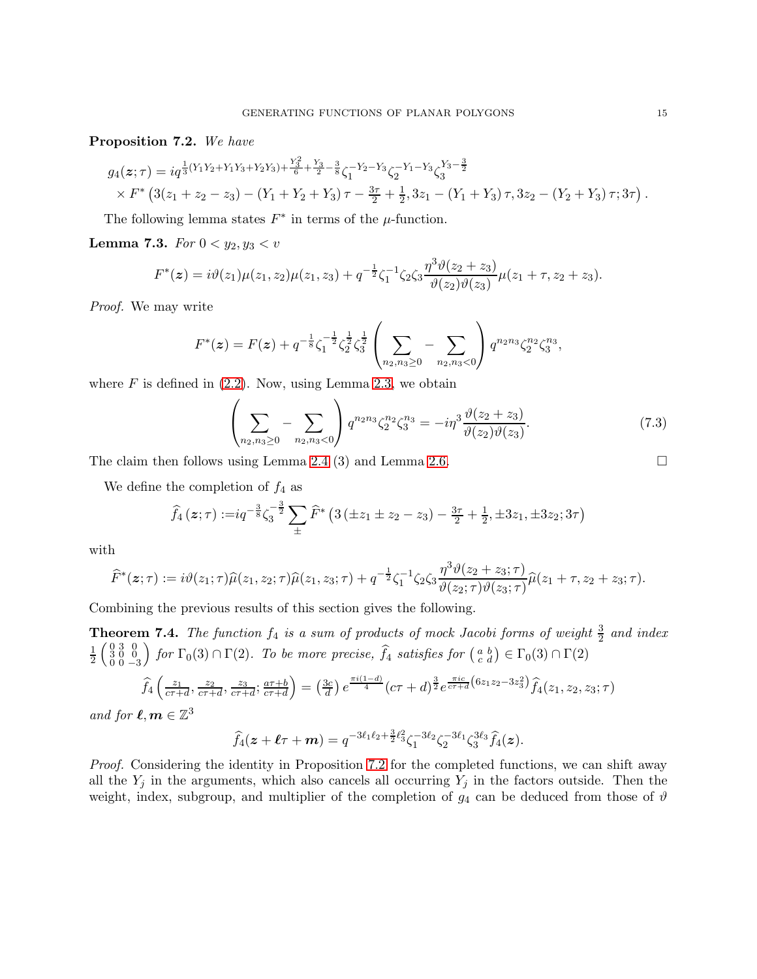<span id="page-14-1"></span>Proposition 7.2. We have

$$
g_4(z;\tau) = iq^{\frac{1}{3}(Y_1Y_2+Y_1Y_3+Y_2Y_3)+\frac{Y_3^2}{6}+\frac{Y_3}{2}-\frac{3}{8}\zeta_1^{-Y_2-Y_3}\zeta_2^{-Y_1-Y_3}\zeta_3^{Y_3-\frac{3}{2}}
$$
  
×  $F^*\left(3(z_1+z_2-z_3)-(Y_1+Y_2+Y_3)\tau-\frac{3\tau}{2}+\frac{1}{2},3z_1-(Y_1+Y_3)\tau,3z_2-(Y_2+Y_3)\tau,3\tau\right).$ 

The following lemma states  $F^*$  in terms of the  $\mu$ -function.

<span id="page-14-3"></span>Lemma 7.3. For  $0 < y_2, y_3 < v$ 

$$
F^*(z) = i\vartheta(z_1)\mu(z_1, z_2)\mu(z_1, z_3) + q^{-\frac{1}{2}}\zeta_1^{-1}\zeta_2\zeta_3\frac{\eta^3\vartheta(z_2+z_3)}{\vartheta(z_2)\vartheta(z_3)}\mu(z_1+\tau, z_2+z_3).
$$

Proof. We may write

$$
F^*(z) = F(z) + q^{-\frac{1}{8}} \zeta_1^{-\frac{1}{2}} \zeta_2^{\frac{1}{2}} \zeta_3^{\frac{1}{2}} \left( \sum_{n_2, n_3 \ge 0} - \sum_{n_2, n_3 < 0} \right) q^{n_2 n_3} \zeta_2^{n_2} \zeta_3^{n_3},
$$

where  $F$  is defined in  $(2.2)$ . Now, using Lemma [2.3,](#page-3-1) we obtain

<span id="page-14-2"></span>
$$
\left(\sum_{n_2,n_3\geq 0} -\sum_{n_2,n_3<0} \right) q^{n_2n_3} \zeta_2^{n_2} \zeta_3^{n_3} = -i\eta^3 \frac{\vartheta(z_2+z_3)}{\vartheta(z_2)\vartheta(z_3)}.
$$
\n(7.3)

The claim then follows using Lemma [2.4](#page-3-0) (3) and Lemma [2.6.](#page-4-1)  $\Box$ 

We define the completion of  $f_4$  as

$$
\widehat{f}_4(z;\tau) :=\! i q^{-\frac{3}{8}} \zeta_3^{-\frac{3}{2}} \sum_{\pm} \widehat{F}^* \left( 3 \left( \pm z_1 \pm z_2 - z_3 \right) - \frac{3\tau}{2} + \frac{1}{2}, \pm 3z_1, \pm 3z_2; 3\tau \right)
$$

with

$$
\widehat{F}^*(\boldsymbol{z};\tau) := i\vartheta(z_1;\tau)\widehat{\mu}(z_1,z_2;\tau)\widehat{\mu}(z_1,z_3;\tau) + q^{-\frac{1}{2}}\zeta_1^{-1}\zeta_2\zeta_3\frac{\eta^3\vartheta(z_2+z_3;\tau)}{\vartheta(z_2;\tau)\vartheta(z_3;\tau)}\widehat{\mu}(z_1+\tau,z_2+z_3;\tau).
$$

Combining the previous results of this section gives the following.

<span id="page-14-0"></span>**Theorem 7.4.** The function  $f_4$  is a sum of products of mock Jacobi forms of weight  $\frac{3}{2}$  and index 1 2  $\left(\begin{smallmatrix} 0 & 3 & 0 \\ 3 & 0 & 0 \\ 0 & 0 & -3 \end{smallmatrix}\right)$ for  $\Gamma_0(3) \cap \Gamma(2)$ . To be more precise,  $\hat{f}_4$  satisfies for  $\begin{pmatrix} a & b \\ c & d \end{pmatrix} \in \Gamma_0(3) \cap \Gamma(2)$  $\pi i(1-d)$ 

$$
\hat{f}_4\left(\frac{z_1}{c\tau+d}, \frac{z_2}{c\tau+d}, \frac{z_3}{c\tau+d}; \frac{a\tau+b}{c\tau+d}\right) = \left(\frac{3c}{d}\right)e^{\frac{\pi i(1-d)}{4}}(c\tau+d)^{\frac{3}{2}}e^{\frac{\pi i c}{c\tau+d}(6z_1z_2-3z_3^2)}\hat{f}_4(z_1, z_2, z_3; \tau)
$$

and for  $\boldsymbol{\ell}, \boldsymbol{m} \in \mathbb{Z}^3$ 

$$
\widehat{f}_4(\boldsymbol{z}+\boldsymbol{\ell}\tau+\boldsymbol{m})=q^{-3\ell_1\ell_2+\frac{3}{2}\ell_3^2}\zeta_1^{-3\ell_2}\zeta_2^{-3\ell_1}\zeta_3^{3\ell_3}\widehat{f}_4(\boldsymbol{z}).
$$

Proof. Considering the identity in Proposition [7.2](#page-14-1) for the completed functions, we can shift away all the  $Y_j$  in the arguments, which also cancels all occurring  $Y_j$  in the factors outside. Then the weight, index, subgroup, and multiplier of the completion of  $g_4$  can be deduced from those of  $\vartheta$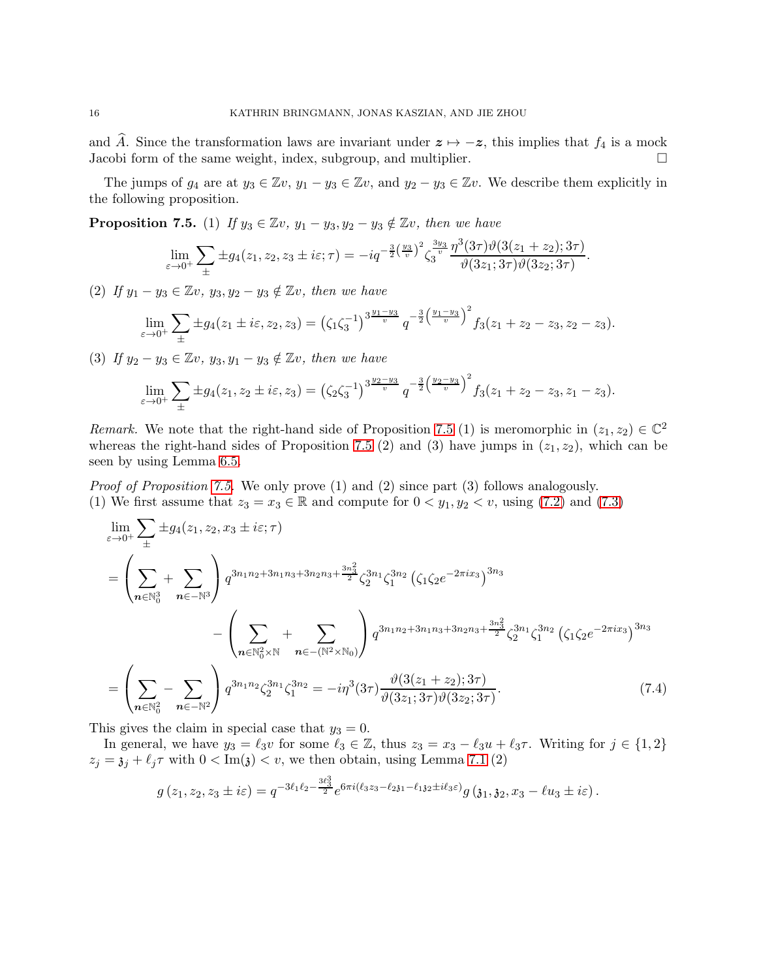and  $\widehat{A}$ . Since the transformation laws are invariant under  $z \mapsto -z$ , this implies that  $f_4$  is a mock Jacobi form of the same weight, index, subgroup, and multiplier. Jacobi form of the same weight, index, subgroup, and multiplier.

The jumps of  $g_4$  are at  $y_3 \in \mathbb{Z}v$ ,  $y_1 - y_3 \in \mathbb{Z}v$ , and  $y_2 - y_3 \in \mathbb{Z}v$ . We describe them explicitly in the following proposition.

**Proposition 7.5.** (1) If  $y_3 \in \mathbb{Z}v$ ,  $y_1 - y_3, y_2 - y_3 \notin \mathbb{Z}v$ , then we have

$$
\lim_{\varepsilon \to 0^+} \sum_{\pm} \pm g_4(z_1, z_2, z_3 \pm i\varepsilon; \tau) = -iq^{-\frac{3}{2}(\frac{y_3}{v})^2} \zeta_3^{\frac{3y_3}{v}} \frac{\eta^3(3\tau)\vartheta(3(z_1+z_2); 3\tau)}{\vartheta(3z_1; 3\tau)\vartheta(3z_2; 3\tau)}.
$$

(2) If  $y_1 - y_3 \in \mathbb{Z}v$ ,  $y_3, y_2 - y_3 \notin \mathbb{Z}v$ , then we have

$$
\lim_{\varepsilon \to 0^+} \sum_{\pm} \pm g_4(z_1 \pm i\varepsilon, z_2, z_3) = (\zeta_1 \zeta_3^{-1})^{3\frac{y_1-y_3}{v}} q^{-\frac{3}{2} \left(\frac{y_1-y_3}{v}\right)^2} f_3(z_1 + z_2 - z_3, z_2 - z_3).
$$

(3) If  $y_2 - y_3 \in \mathbb{Z}v$ ,  $y_3, y_1 - y_3 \notin \mathbb{Z}v$ , then we have

$$
\lim_{\varepsilon \to 0^+} \sum_{\pm} \pm g_4(z_1, z_2 \pm i\varepsilon, z_3) = \left(\zeta_2 \zeta_3^{-1}\right)^{\frac{y_2 - y_3}{v}} q^{-\frac{3}{2} \left(\frac{y_2 - y_3}{v}\right)^2} f_3(z_1 + z_2 - z_3, z_1 - z_3).
$$

Remark. We note that the right-hand side of Proposition 7.5 (1) is meromorphic in  $(z_1, z_2) \in \mathbb{C}^2$ whereas the right-hand sides of Proposition 7.5 (2) and (3) have jumps in  $(z_1, z_2)$ , which can be seen by using Lemma [6.5.](#page-12-1)

*Proof of Proposition 7.5.* We only prove (1) and (2) since part (3) follows analogously. (1) We first assume that  $z_3 = x_3 \in \mathbb{R}$  and compute for  $0 < y_1, y_2 < v$ , using [\(7.2\)](#page-13-0) and [\(7.3\)](#page-14-2)

$$
\lim_{\varepsilon \to 0^{+}} \sum_{\pm} \pm g_{4}(z_{1}, z_{2}, x_{3} \pm i\varepsilon; \tau)
$$
\n
$$
= \left(\sum_{n \in \mathbb{N}_{0}^{3}} + \sum_{n \in -\mathbb{N}^{3}}\right) q^{3n_{1}n_{2} + 3n_{1}n_{3} + 3n_{2}n_{3} + \frac{3n_{3}^{2}}{2}} \zeta_{2}^{3n_{1}} \zeta_{1}^{3n_{2}} \left(\zeta_{1}\zeta_{2}e^{-2\pi ix_{3}}\right)^{3n_{3}} - \left(\sum_{n \in \mathbb{N}_{0}^{2} \times \mathbb{N}} + \sum_{n \in -(\mathbb{N}^{2} \times \mathbb{N}_{0})}\right) q^{3n_{1}n_{2} + 3n_{1}n_{3} + 3n_{2}n_{3} + \frac{3n_{3}^{2}}{2}} \zeta_{2}^{3n_{1}} \zeta_{1}^{3n_{2}} \left(\zeta_{1}\zeta_{2}e^{-2\pi ix_{3}}\right)^{3n_{3}}
$$
\n
$$
= \left(\sum_{n \in \mathbb{N}_{0}^{2}} - \sum_{n \in -\mathbb{N}^{2}}\right) q^{3n_{1}n_{2}} \zeta_{2}^{3n_{1}} \zeta_{1}^{3n_{2}} = -i\eta^{3} (3\tau) \frac{\vartheta(3(z_{1} + z_{2}); 3\tau)}{\vartheta(3z_{1}; 3\tau)\vartheta(3z_{2}; 3\tau)}.
$$
\n(7.4)

This gives the claim in special case that  $y_3 = 0$ .

In general, we have  $y_3 = \ell_3 v$  for some  $\ell_3 \in \mathbb{Z}$ , thus  $z_3 = x_3 - \ell_3 u + \ell_3 \tau$ . Writing for  $j \in \{1, 2\}$  $z_j = \mathfrak{z}_j + \ell_j \tau$  with  $0 < \text{Im}(\mathfrak{z}) < v$ , we then obtain, using Lemma [7.1](#page-13-1) (2)

<span id="page-15-0"></span>
$$
g(z_1, z_2, z_3 \pm i\varepsilon) = q^{-3\ell_1\ell_2 - \frac{3\ell_3^3}{2}} e^{6\pi i(\ell_3 z_3 - \ell_2 z_1 - \ell_1 z_2 \pm i\ell_3 \varepsilon)} g(\mathfrak{z}_1, \mathfrak{z}_2, x_3 - \ell u_3 \pm i\varepsilon).
$$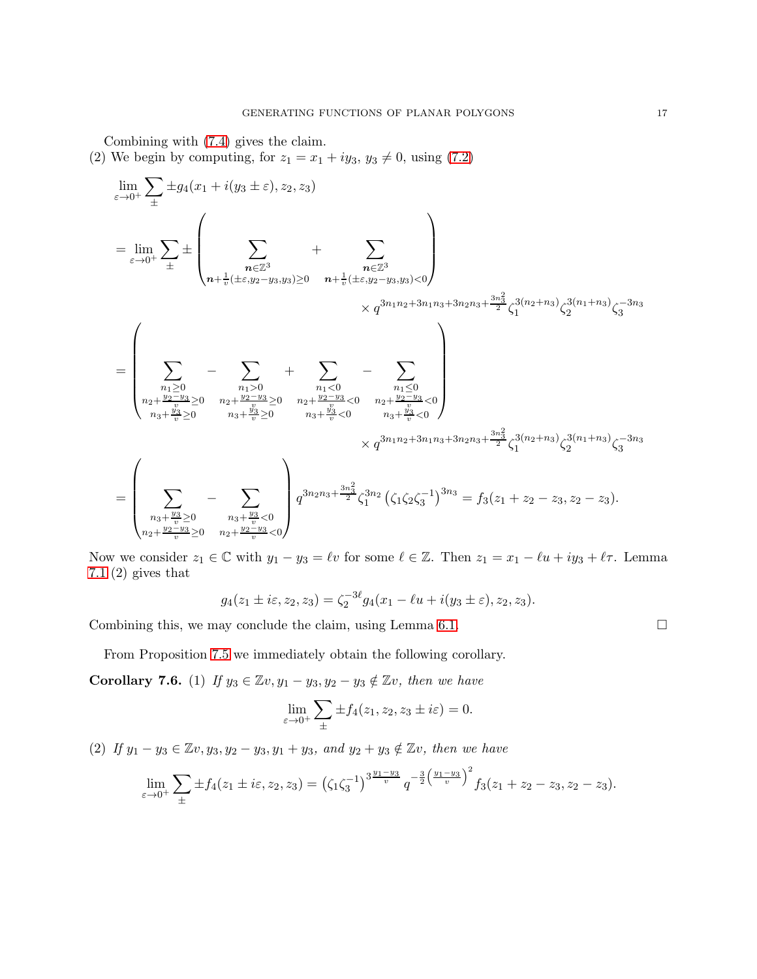Combining with [\(7.4\)](#page-15-0) gives the claim.

(2) We begin by computing, for  $z_1 = x_1 + iy_3$ ,  $y_3 \neq 0$ , using [\(7.2\)](#page-13-0)

$$
\lim_{\varepsilon \to 0^{+}} \sum_{\pm} \pm g_4(x_1 + i(y_3 \pm \varepsilon), z_2, z_3)
$$
\n
$$
= \lim_{\varepsilon \to 0^{+}} \sum_{\pm} \pm \left( \sum_{\substack{n \in \mathbb{Z}^3 \\ n+ \frac{1}{v} (\pm \varepsilon, y_2 - y_3, y_3) \ge 0}} + \sum_{\substack{n \in \mathbb{Z}^3 \\ n \neq \frac{1}{v} (\pm \varepsilon, y_2 - y_3, y_3) < 0}} \right) \times q^{3n_1 n_2 + 3n_1 n_3 + 3n_2 n_3 + \frac{3n_2^2}{2}} \zeta_1^{3(n_2 + n_3)} \zeta_2^{3(n_1 + n_3)} \zeta_3^{-3n_3}
$$
\n
$$
= \left( \sum_{\substack{n_1 \ge 0 \\ n_2 + \frac{y_2 - y_3}{2} \ge 0}} - \sum_{\substack{n_1 \ge 0 \\ n_3 + \frac{y_3}{v} \ge 0}} + \sum_{\substack{n_1 < 0 \\ n_3 + \frac{y_3}{v} \ge 0}} - \sum_{\substack{n_1 + \frac{y_2 - y_3}{v} \ge 0 \\ n_3 + \frac{y_3}{v} \ge 0}} + \sum_{\substack{n_1 + \frac{y_2 - y_3}{v} \ge 0 \\ n_3 + \frac{y_3}{v} \ge 0}} - \sum_{\substack{n_1 + \frac{y_3}{v} \ge 0 \\ n_3 + \frac{y_3}{v} \ge 0}} \right) \times q^{3n_1 n_2 + 3n_1 n_3 + 3n_2 n_3 + \frac{3n_2^2}{2}} \zeta_1^{3(n_2 + n_3)} \zeta_2^{3(n_1 + n_3)} \zeta_3^{-3n_3}
$$
\n
$$
= \left( \sum_{\substack{n_3 + \frac{y_3}{v} \ge 0 \\ n_2 + \frac{y_2 - y_3}{v} \ge 0}} - \sum_{\substack{n_3 + \frac{y_3}{v} < 0 \\ n_3 + \frac{y_3}{v} \ge 0}} \right) q^{3n_2 n_3 + \frac{3n_2^2}{2}} \zeta_1^{3n_2} \left( \zeta_1 \zeta
$$

Now we consider  $z_1 \in \mathbb{C}$  with  $y_1 - y_3 = \ell v$  for some  $\ell \in \mathbb{Z}$ . Then  $z_1 = x_1 - \ell u + iy_3 + \ell \tau$ . Lemma [7.1](#page-13-1) (2) gives that

$$
g_4(z_1 \pm i\varepsilon, z_2, z_3) = \zeta_2^{-3\ell} g_4(x_1 - \ell u + i(y_3 \pm \varepsilon), z_2, z_3).
$$

Combining this, we may conclude the claim, using Lemma [6.1.](#page-10-2)  $\Box$ 

From Proposition 7.5 we immediately obtain the following corollary.

Corollary 7.6. (1) If  $y_3 \in \mathbb{Z}v, y_1 - y_3, y_2 - y_3 \notin \mathbb{Z}v$ , then we have

$$
\lim_{\varepsilon \to 0^+} \sum_{\pm} \pm f_4(z_1, z_2, z_3 \pm i\varepsilon) = 0.
$$

(2) If  $y_1 - y_3 \in \mathbb{Z}v, y_3, y_2 - y_3, y_1 + y_3$ , and  $y_2 + y_3 \notin \mathbb{Z}v$ , then we have

$$
\lim_{\varepsilon \to 0^+} \sum_{\pm} \pm f_4(z_1 \pm i\varepsilon, z_2, z_3) = \left(\zeta_1 \zeta_3^{-1}\right)^{\frac{y_1 - y_3}{v}} q^{-\frac{3}{2} \left(\frac{y_1 - y_3}{v}\right)^2} f_3(z_1 + z_2 - z_3, z_2 - z_3).
$$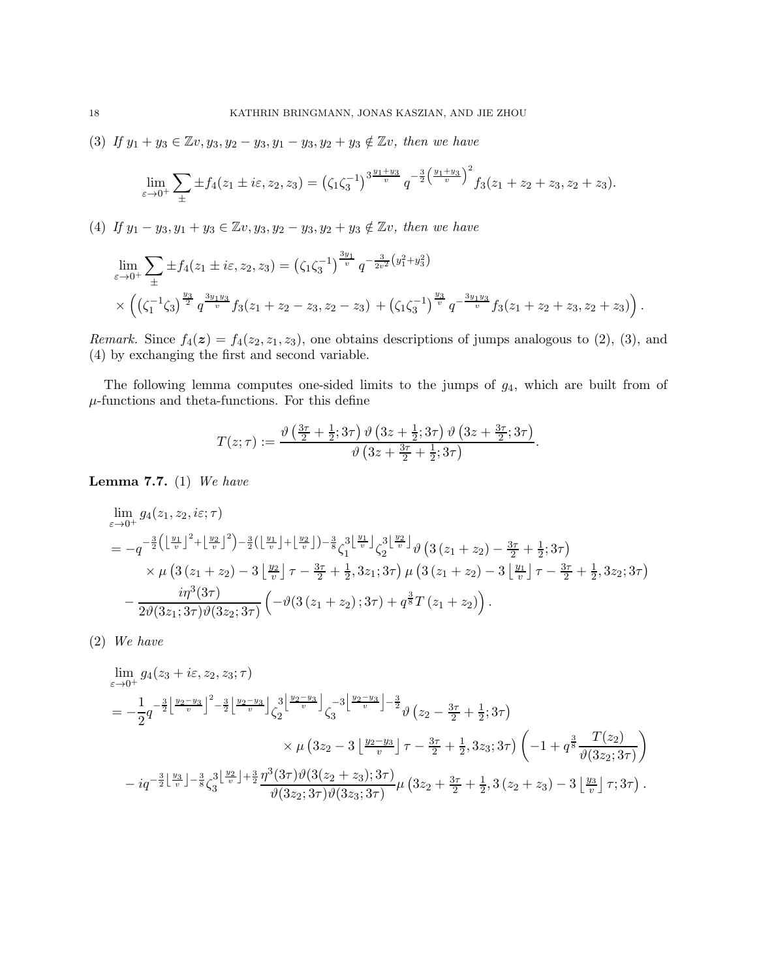(3) If  $y_1 + y_3 \in \mathbb{Z}v, y_3, y_2 - y_3, y_1 - y_3, y_2 + y_3 \notin \mathbb{Z}v$ , then we have

$$
\lim_{\varepsilon \to 0^+} \sum_{\pm} \pm f_4(z_1 \pm i\varepsilon, z_2, z_3) = (\zeta_1 \zeta_3^{-1})^{3\frac{y_1+y_3}{v}} q^{-\frac{3}{2} \left(\frac{y_1+y_3}{v}\right)^2} f_3(z_1 + z_2 + z_3, z_2 + z_3).
$$

(4) If  $y_1 - y_3, y_1 + y_3 \in \mathbb{Z}v, y_3, y_2 - y_3, y_2 + y_3 \notin \mathbb{Z}v$ , then we have

$$
\lim_{\varepsilon \to 0^+} \sum_{\pm} \pm f_4(z_1 \pm i\varepsilon, z_2, z_3) = (\zeta_1 \zeta_3^{-1})^{\frac{3y_1}{v}} q^{-\frac{3}{2v^2}(y_1^2 + y_3^2)} \times \left( (\zeta_1^{-1} \zeta_3)^{\frac{y_3}{2}} q^{\frac{3y_1 y_3}{v}} f_3(z_1 + z_2 - z_3, z_2 - z_3) + (\zeta_1 \zeta_3^{-1})^{\frac{y_3}{v}} q^{-\frac{3y_1 y_3}{v}} f_3(z_1 + z_2 + z_3, z_2 + z_3) \right).
$$

Remark. Since  $f_4(z) = f_4(z_2, z_1, z_3)$ , one obtains descriptions of jumps analogous to (2), (3), and (4) by exchanging the first and second variable.

The following lemma computes one-sided limits to the jumps of  $g_4$ , which are built from of  $\mu$ -functions and theta-functions. For this define

$$
T(z;\tau) := \frac{\vartheta\left(\frac{3\tau}{2} + \frac{1}{2}; 3\tau\right) \vartheta\left(3z + \frac{1}{2}; 3\tau\right) \vartheta\left(3z + \frac{3\tau}{2}; 3\tau\right)}{\vartheta\left(3z + \frac{3\tau}{2} + \frac{1}{2}; 3\tau\right)}.
$$

**Lemma 7.7.** (1) We have

$$
\lim_{\varepsilon \to 0^{+}} g_{4}(z_{1}, z_{2}, i\varepsilon; \tau)
$$
\n
$$
= -q^{-\frac{3}{2}\left(\left\lfloor \frac{y_{1}}{v}\right\rfloor^{2} + \left\lfloor \frac{y_{2}}{v}\right\rfloor^{2}\right) - \frac{3}{2}\left(\left\lfloor \frac{y_{1}}{v}\right\rfloor + \left\lfloor \frac{y_{2}}{v}\right\rfloor\right) - \frac{3}{8}\zeta_{1}^{3}\left\lfloor \frac{y_{1}}{v}\right\rfloor\zeta_{2}^{3}\left\lfloor \frac{y_{2}}{v}\right\rfloor} \varphi\left(3(z_{1} + z_{2}) - \frac{3\tau}{2} + \frac{1}{2}; 3\tau\right) \times \mu\left(3(z_{1} + z_{2}) - 3\left\lfloor \frac{y_{2}}{v}\right\rfloor\tau - \frac{3\tau}{2} + \frac{1}{2}, 3z_{1}; 3\tau\right) \mu\left(3(z_{1} + z_{2}) - 3\left\lfloor \frac{y_{1}}{v}\right\rfloor\tau - \frac{3\tau}{2} + \frac{1}{2}, 3z_{2}; 3\tau\right) \times \frac{i\eta^{3}(3\tau)}{2\vartheta(3z_{1}; 3\tau)\vartheta(3z_{2}; 3\tau)}\left(-\vartheta(3(z_{1} + z_{2}); 3\tau) + q^{\frac{3}{8}}T(z_{1} + z_{2})\right).
$$

(2) We have

$$
\lim_{\varepsilon \to 0^{+}} g_{4}(z_{3} + i\varepsilon, z_{2}, z_{3}; \tau) \n= -\frac{1}{2} q^{-\frac{3}{2} \left\lfloor \frac{y_{2} - y_{3}}{v} \right\rfloor^{2} - \frac{3}{2} \left\lfloor \frac{y_{2} - y_{3}}{v} \right\rfloor} \zeta_{2}^{3} \left\lfloor \frac{y_{2} - y_{3}}{v} \right\rfloor^{2} \zeta_{3}^{2}} \left\lfloor \frac{y_{2} - y_{3}}{v} \right\rfloor^{2} - \frac{3}{2} \vartheta \left( z_{2} - \frac{3\tau}{2} + \frac{1}{2}; 3\tau \right) \n\times \mu \left( 3z_{2} - 3 \left\lfloor \frac{y_{2} - y_{3}}{v} \right\rfloor \tau - \frac{3\tau}{2} + \frac{1}{2}, 3z_{3}; 3\tau \right) \left( -1 + q^{\frac{3}{8}} \frac{T(z_{2})}{\vartheta(3z_{2}; 3\tau)} \right) \n- iq^{-\frac{3}{2} \left\lfloor \frac{y_{3}}{v} \right\rfloor - \frac{3}{8} \zeta_{3}^{3} \left\lfloor \frac{y_{2}}{v} \right\rfloor + \frac{3}{2} \frac{\eta^{3}(3\tau)\vartheta(3(z_{2} + z_{3}); 3\tau)}{\vartheta(3z_{2}; 3\tau)\vartheta(3z_{3}; 3\tau)} \mu \left( 3z_{2} + \frac{3\tau}{2} + \frac{1}{2}, 3(z_{2} + z_{3}) - 3 \left\lfloor \frac{y_{3}}{v} \right\rfloor \tau; 3\tau \right).
$$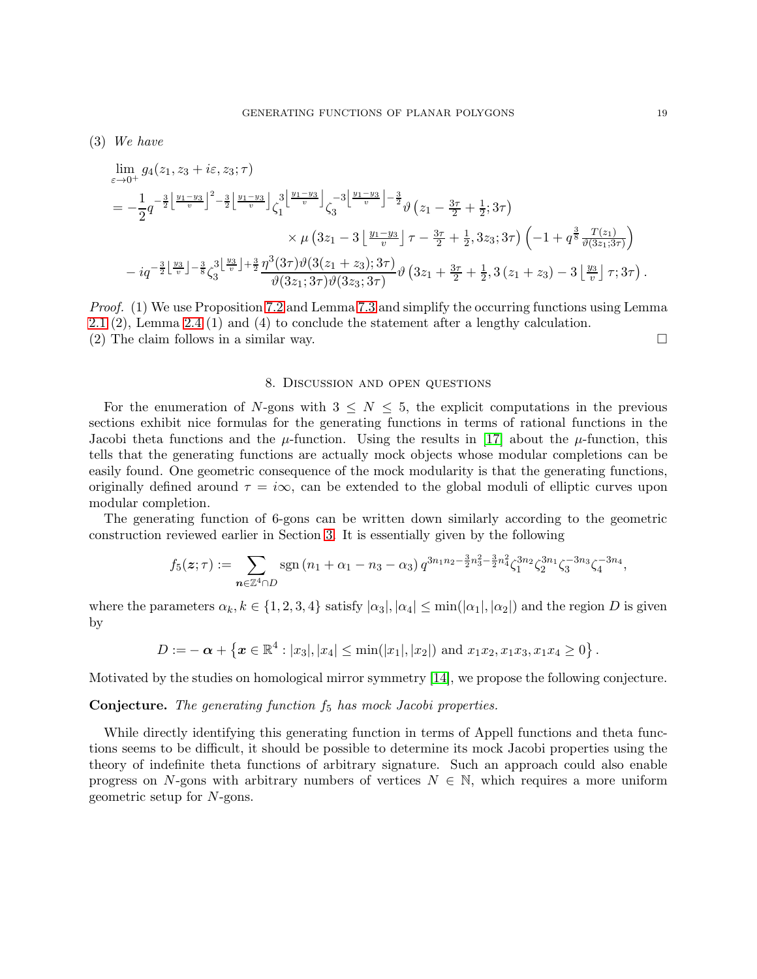(3) We have

$$
\lim_{\varepsilon \to 0^{+}} g_{4}(z_{1}, z_{3} + i\varepsilon, z_{3}; \tau) \n= -\frac{1}{2} q^{-\frac{3}{2} \left\lfloor \frac{y_{1} - y_{3}}{v} \right\rfloor^{2} - \frac{3}{2} \left\lfloor \frac{y_{1} - y_{3}}{v} \right\rfloor} \zeta_{1}^{3} \left\lfloor \frac{y_{1} - y_{3}}{v} \right\rfloor^{2} \zeta_{3}^{1} \left\lfloor \frac{y_{1} - y_{3}}{v} \right\rfloor^{2} - \frac{3}{2} \vartheta \left( z_{1} - \frac{3\tau}{2} + \frac{1}{2}; 3\tau \right) \n\times \mu \left( 3z_{1} - 3 \left\lfloor \frac{y_{1} - y_{3}}{v} \right\rfloor \tau - \frac{3\tau}{2} + \frac{1}{2}, 3z_{3}; 3\tau \right) \left( -1 + q^{\frac{3}{8}} \frac{T(z_{1})}{\vartheta(3z_{1}; 3\tau)} \right) \n- iq^{-\frac{3}{2} \left\lfloor \frac{y_{3}}{v} \right\rfloor - \frac{3}{8} \zeta_{3}^{3} \left\lfloor \frac{y_{3}}{v} \right\rfloor + \frac{3}{2} \frac{\eta^{3}(3\tau)\vartheta(3(z_{1} + z_{3}); 3\tau)}{\vartheta(3z_{1}; 3\tau)\vartheta(3z_{3}; 3\tau)} \vartheta \left( 3z_{1} + \frac{3\tau}{2} + \frac{1}{2}, 3(z_{1} + z_{3}) - 3 \left\lfloor \frac{y_{3}}{v} \right\rfloor \tau; 3\tau \right).
$$

Proof. (1) We use Proposition [7.2](#page-14-1) and Lemma [7.3](#page-14-3) and simplify the occurring functions using Lemma 2.1 (2), Lemma [2.4](#page-3-0) (1) and (4) to conclude the statement after a lengthy calculation. (2) The claim follows in a similar way.

#### 8. Discussion and open questions

For the enumeration of N-gons with  $3 \leq N \leq 5$ , the explicit computations in the previous sections exhibit nice formulas for the generating functions in terms of rational functions in the Jacobi theta functions and the  $\mu$ -function. Using the results in [\[17\]](#page-19-16) about the  $\mu$ -function, this tells that the generating functions are actually mock objects whose modular completions can be easily found. One geometric consequence of the mock modularity is that the generating functions, originally defined around  $\tau = i\infty$ , can be extended to the global moduli of elliptic curves upon modular completion.

The generating function of 6-gons can be written down similarly according to the geometric construction reviewed earlier in Section [3.](#page-5-2) It is essentially given by the following

$$
f_5(\mathbf{z};\tau) := \sum_{\mathbf{n} \in \mathbb{Z}^4 \cap D} \text{sgn}(n_1 + \alpha_1 - n_3 - \alpha_3) q^{3n_1n_2 - \frac{3}{2}n_3^2 - \frac{3}{2}n_4^2} \zeta_1^{3n_2} \zeta_2^{3n_1} \zeta_3^{-3n_3} \zeta_4^{-3n_4},
$$

where the parameters  $\alpha_k, k \in \{1, 2, 3, 4\}$  satisfy  $|\alpha_3|, |\alpha_4| \le \min(|\alpha_1|, |\alpha_2|)$  and the region D is given by

$$
D := -\boldsymbol{\alpha} + \left\{\boldsymbol{x}\in\mathbb{R}^4 : |x_3|, |x_4|\leq \min(|x_1|, |x_2|) \text{ and } x_1x_2, x_1x_3, x_1x_4\geq 0\right\}.
$$

Motivated by the studies on homological mirror symmetry [\[14\]](#page-19-3), we propose the following conjecture.

**Conjecture.** The generating function  $f_5$  has mock Jacobi properties.

While directly identifying this generating function in terms of Appell functions and theta functions seems to be difficult, it should be possible to determine its mock Jacobi properties using the theory of indefinite theta functions of arbitrary signature. Such an approach could also enable progress on N-gons with arbitrary numbers of vertices  $N \in \mathbb{N}$ , which requires a more uniform geometric setup for N-gons.